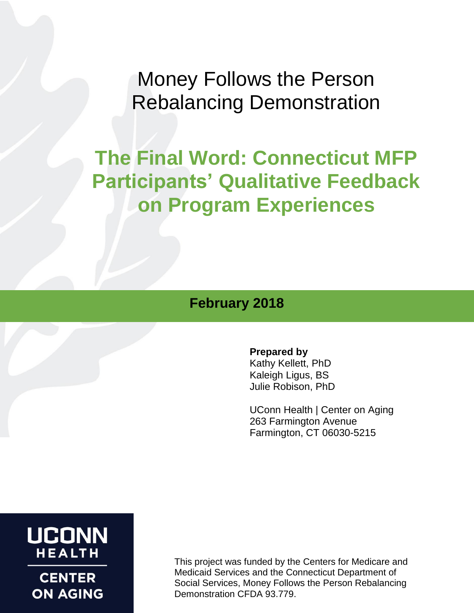Money Follows the Person Rebalancing Demonstration

# **The Final Word: Connecticut MFP Participants' Qualitative Feedback on Program Experiences**

# **February 2018**

#### **Prepared by**

Kathy Kellett, PhD Kaleigh Ligus, BS Julie Robison, PhD

UConn Health | Center on Aging 263 Farmington Avenue Farmington, CT 06030-5215

# **UCONN HEALTH**

**CENTER ON AGING**  This project was funded by the Centers for Medicare and Medicaid Services and the Connecticut Department of Social Services, Money Follows the Person Rebalancing Demonstration CFDA 93.779.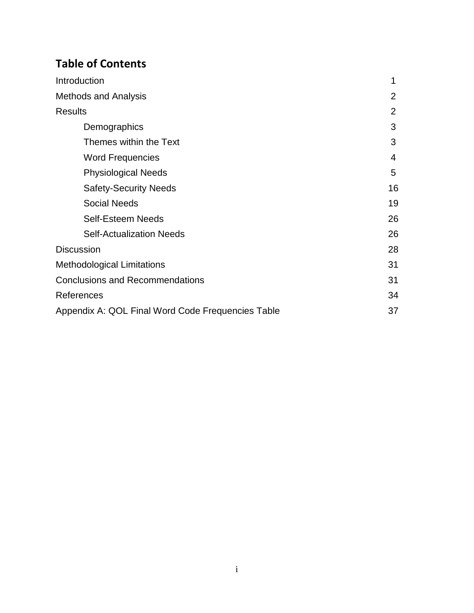# **Table of Contents**

| Introduction                                      | 1  |
|---------------------------------------------------|----|
| <b>Methods and Analysis</b>                       | 2  |
| <b>Results</b>                                    | 2  |
| Demographics                                      | 3  |
| Themes within the Text                            | 3  |
| <b>Word Frequencies</b>                           | 4  |
| <b>Physiological Needs</b>                        | 5  |
| <b>Safety-Security Needs</b>                      | 16 |
| <b>Social Needs</b>                               | 19 |
| <b>Self-Esteem Needs</b>                          | 26 |
| <b>Self-Actualization Needs</b>                   | 26 |
| <b>Discussion</b>                                 | 28 |
| <b>Methodological Limitations</b>                 | 31 |
| <b>Conclusions and Recommendations</b>            | 31 |
| References                                        | 34 |
| Appendix A: QOL Final Word Code Frequencies Table | 37 |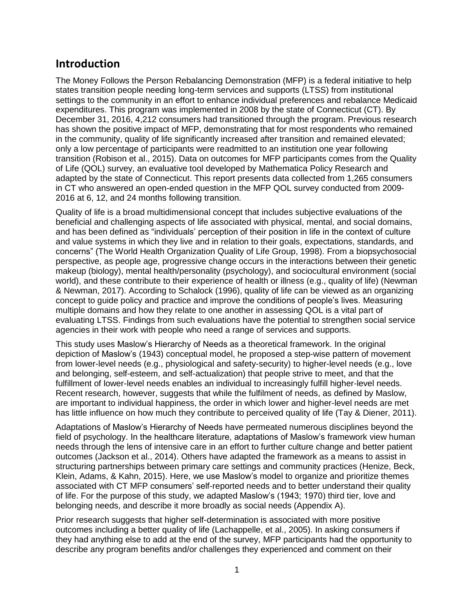# **Introduction**

The Money Follows the Person Rebalancing Demonstration (MFP) is a federal initiative to help states transition people needing long-term services and supports (LTSS) from institutional settings to the community in an effort to enhance individual preferences and rebalance Medicaid expenditures. This program was implemented in 2008 by the state of Connecticut (CT). By December 31, 2016, 4,212 consumers had transitioned through the program. Previous research has shown the positive impact of MFP, demonstrating that for most respondents who remained in the community, quality of life significantly increased after transition and remained elevated; only a low percentage of participants were readmitted to an institution one year following transition (Robison et al., 2015). Data on outcomes for MFP participants comes from the Quality of Life (QOL) survey, an evaluative tool developed by Mathematica Policy Research and adapted by the state of Connecticut. This report presents data collected from 1,265 consumers in CT who answered an open-ended question in the MFP QOL survey conducted from 2009- 2016 at 6, 12, and 24 months following transition.

Quality of life is a broad multidimensional concept that includes subjective evaluations of the beneficial and challenging aspects of life associated with physical, mental, and social domains, and has been defined as "individuals' perception of their position in life in the context of culture and value systems in which they live and in relation to their goals, expectations, standards, and concerns" (The World Health Organization Quality of Life Group, 1998). From a biopsychosocial perspective, as people age, progressive change occurs in the interactions between their genetic makeup (biology), mental health/personality (psychology), and sociocultural environment (social world), and these contribute to their experience of health or illness (e.g., quality of life) (Newman & Newman, 2017). According to Schalock (1996), quality of life can be viewed as an organizing concept to guide policy and practice and improve the conditions of people's lives. Measuring multiple domains and how they relate to one another in assessing QOL is a vital part of evaluating LTSS. Findings from such evaluations have the potential to strengthen social service agencies in their work with people who need a range of services and supports.

This study uses Maslow's Hierarchy of Needs as a theoretical framework. In the original depiction of Maslow's (1943) conceptual model, he proposed a step-wise pattern of movement from lower-level needs (e.g., physiological and safety-security) to higher-level needs (e.g., love and belonging, self-esteem, and self-actualization) that people strive to meet, and that the fulfillment of lower-level needs enables an individual to increasingly fulfill higher-level needs. Recent research, however, suggests that while the fulfilment of needs, as defined by Maslow, are important to individual happiness, the order in which lower and higher-level needs are met has little influence on how much they contribute to perceived quality of life (Tay & Diener, 2011).

Adaptations of Maslow's Hierarchy of Needs have permeated numerous disciplines beyond the field of psychology. In the healthcare literature, adaptations of Maslow's framework view human needs through the lens of intensive care in an effort to further culture change and better patient outcomes (Jackson et al., 2014). Others have adapted the framework as a means to assist in structuring partnerships between primary care settings and community practices (Henize, Beck, Klein, Adams, & Kahn, 2015). Here, we use Maslow's model to organize and prioritize themes associated with CT MFP consumers' self-reported needs and to better understand their quality of life. For the purpose of this study, we adapted Maslow's (1943; 1970) third tier, love and belonging needs, and describe it more broadly as social needs (Appendix A).

Prior research suggests that higher self-determination is associated with more positive outcomes including a better quality of life (Lachappelle, et al., 2005). In asking consumers if they had anything else to add at the end of the survey, MFP participants had the opportunity to describe any program benefits and/or challenges they experienced and comment on their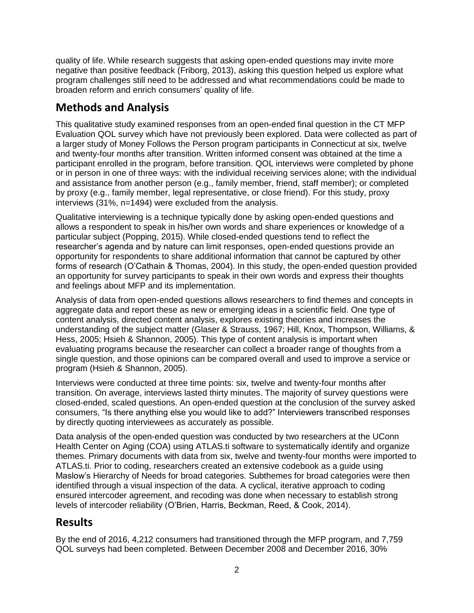quality of life. While research suggests that asking open-ended questions may invite more negative than positive feedback (Friborg, 2013), asking this question helped us explore what program challenges still need to be addressed and what recommendations could be made to broaden reform and enrich consumers' quality of life.

# **Methods and Analysis**

This qualitative study examined responses from an open-ended final question in the CT MFP Evaluation QOL survey which have not previously been explored. Data were collected as part of a larger study of Money Follows the Person program participants in Connecticut at six, twelve and twenty-four months after transition. Written informed consent was obtained at the time a participant enrolled in the program, before transition. QOL interviews were completed by phone or in person in one of three ways: with the individual receiving services alone; with the individual and assistance from another person (e.g., family member, friend, staff member); or completed by proxy (e.g., family member, legal representative, or close friend). For this study, proxy interviews (31%, n=1494) were excluded from the analysis.

Qualitative interviewing is a technique typically done by asking open-ended questions and allows a respondent to speak in his/her own words and share experiences or knowledge of a particular subject (Popping, 2015). While closed-ended questions tend to reflect the researcher's agenda and by nature can limit responses, open-ended questions provide an opportunity for respondents to share additional information that cannot be captured by other forms of research (O'Cathain & Thomas, 2004). In this study, the open-ended question provided an opportunity for survey participants to speak in their own words and express their thoughts and feelings about MFP and its implementation.

Analysis of data from open-ended questions allows researchers to find themes and concepts in aggregate data and report these as new or emerging ideas in a scientific field. One type of content analysis, directed content analysis, explores existing theories and increases the understanding of the subject matter (Glaser & Strauss, 1967; Hill, Knox, Thompson, Williams, & Hess, 2005; Hsieh & Shannon, 2005). This type of content analysis is important when evaluating programs because the researcher can collect a broader range of thoughts from a single question, and those opinions can be compared overall and used to improve a service or program (Hsieh & Shannon, 2005).

Interviews were conducted at three time points: six, twelve and twenty-four months after transition. On average, interviews lasted thirty minutes. The majority of survey questions were closed-ended, scaled questions. An open-ended question at the conclusion of the survey asked consumers, "Is there anything else you would like to add?" Interviewers transcribed responses by directly quoting interviewees as accurately as possible.

Data analysis of the open-ended question was conducted by two researchers at the UConn Health Center on Aging (COA) using ATLAS.ti software to systematically identify and organize themes. Primary documents with data from six, twelve and twenty-four months were imported to ATLAS.ti. Prior to coding, researchers created an extensive codebook as a guide using Maslow's Hierarchy of Needs for broad categories. Subthemes for broad categories were then identified through a visual inspection of the data. A cyclical, iterative approach to coding ensured intercoder agreement, and recoding was done when necessary to establish strong levels of intercoder reliability (O'Brien, Harris, Beckman, Reed, & Cook, 2014).

## **Results**

By the end of 2016, 4,212 consumers had transitioned through the MFP program, and 7,759 QOL surveys had been completed. Between December 2008 and December 2016, 30%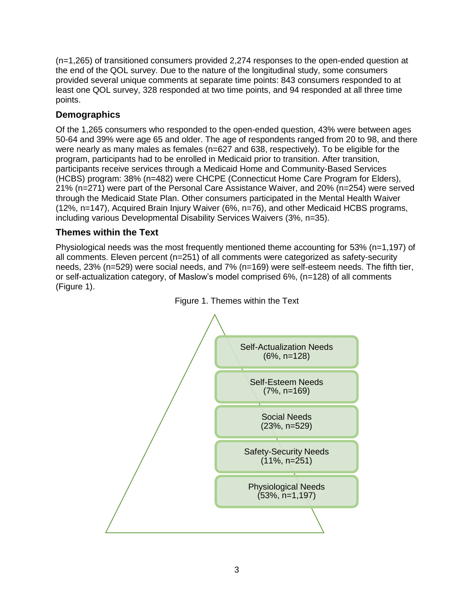(n=1,265) of transitioned consumers provided 2,274 responses to the open-ended question at the end of the QOL survey. Due to the nature of the longitudinal study, some consumers provided several unique comments at separate time points: 843 consumers responded to at least one QOL survey, 328 responded at two time points, and 94 responded at all three time points.

### **Demographics**

Of the 1,265 consumers who responded to the open-ended question, 43% were between ages 50-64 and 39% were age 65 and older. The age of respondents ranged from 20 to 98, and there were nearly as many males as females (n=627 and 638, respectively). To be eligible for the program, participants had to be enrolled in Medicaid prior to transition. After transition, participants receive services through a Medicaid Home and Community-Based Services (HCBS) program: 38% (n=482) were CHCPE (Connecticut Home Care Program for Elders), 21% (n=271) were part of the Personal Care Assistance Waiver, and 20% (n=254) were served through the Medicaid State Plan. Other consumers participated in the Mental Health Waiver (12%, n=147), Acquired Brain Injury Waiver (6%, n=76), and other Medicaid HCBS programs, including various Developmental Disability Services Waivers (3%, n=35).

### **Themes within the Text**

Physiological needs was the most frequently mentioned theme accounting for 53% (n=1,197) of all comments. Eleven percent (n=251) of all comments were categorized as safety-security needs, 23% (n=529) were social needs, and 7% (n=169) were self-esteem needs. The fifth tier, or self-actualization category, of Maslow's model comprised 6%, (n=128) of all comments (Figure 1).



Figure 1. Themes within the Text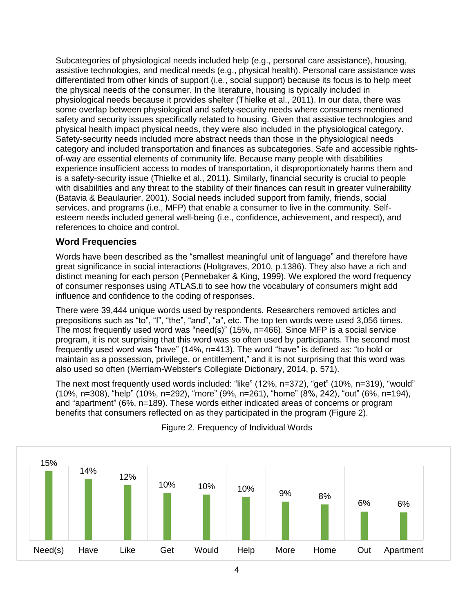Subcategories of physiological needs included help (e.g., personal care assistance), housing, assistive technologies, and medical needs (e.g., physical health). Personal care assistance was differentiated from other kinds of support (i.e., social support) because its focus is to help meet the physical needs of the consumer. In the literature, housing is typically included in physiological needs because it provides shelter (Thielke et al., 2011). In our data, there was some overlap between physiological and safety-security needs where consumers mentioned safety and security issues specifically related to housing. Given that assistive technologies and physical health impact physical needs, they were also included in the physiological category. Safety-security needs included more abstract needs than those in the physiological needs category and included transportation and finances as subcategories. Safe and accessible rightsof-way are essential elements of community life. Because many people with disabilities experience insufficient access to modes of transportation, it disproportionately harms them and is a safety-security issue (Thielke et al., 2011). Similarly, financial security is crucial to people with disabilities and any threat to the stability of their finances can result in greater vulnerability (Batavia & Beaulaurier, 2001). Social needs included support from family, friends, social services, and programs (i.e., MFP) that enable a consumer to live in the community. Selfesteem needs included general well-being (i.e., confidence, achievement, and respect), and references to choice and control.

#### **Word Frequencies**

Words have been described as the "smallest meaningful unit of language" and therefore have great significance in social interactions (Holtgraves, 2010, p.1386). They also have a rich and distinct meaning for each person (Pennebaker & King, 1999). We explored the word frequency of consumer responses using ATLAS.ti to see how the vocabulary of consumers might add influence and confidence to the coding of responses.

There were 39,444 unique words used by respondents. Researchers removed articles and prepositions such as "to", "I", "the", "and", "a", etc. The top ten words were used 3,056 times. The most frequently used word was "need(s)" (15%, n=466). Since MFP is a social service program, it is not surprising that this word was so often used by participants. The second most frequently used word was "have" (14%, n=413). The word "have" is defined as: "to hold or maintain as a possession, privilege, or entitlement," and it is not surprising that this word was also used so often (Merriam-Webster's Collegiate Dictionary, 2014, p. 571).

The next most frequently used words included: "like" (12%, n=372), "get" (10%, n=319), "would" (10%, n=308), "help" (10%, n=292), "more" (9%, n=261), "home" (8%, 242), "out" (6%, n=194), and "apartment" (6%, n=189). These words either indicated areas of concerns or program benefits that consumers reflected on as they participated in the program (Figure 2).



#### Figure 2. Frequency of Individual Words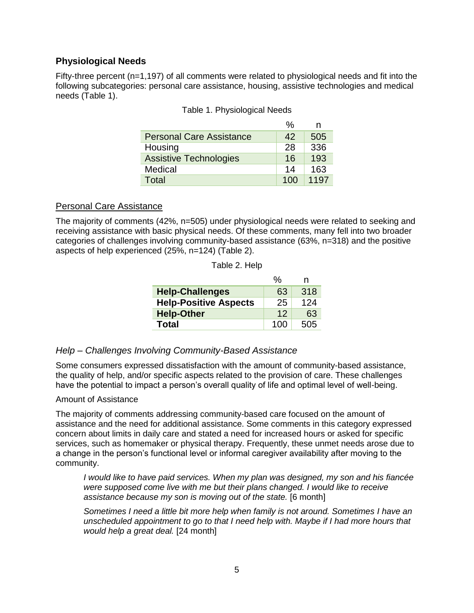#### **Physiological Needs**

Fifty-three percent (n=1,197) of all comments were related to physiological needs and fit into the following subcategories: personal care assistance, housing, assistive technologies and medical needs (Table 1).

|                                 | %   | n    |
|---------------------------------|-----|------|
| <b>Personal Care Assistance</b> | 42  | 505  |
| Housing                         | 28  | 336  |
| <b>Assistive Technologies</b>   | 16  | 193  |
| Medical                         | 14  | 163  |
| Total                           | 100 | 1197 |

| Table 1. Physiological Needs |  |  |  |  |  |
|------------------------------|--|--|--|--|--|
|------------------------------|--|--|--|--|--|

#### Personal Care Assistance

The majority of comments (42%, n=505) under physiological needs were related to seeking and receiving assistance with basic physical needs. Of these comments, many fell into two broader categories of challenges involving community-based assistance (63%, n=318) and the positive aspects of help experienced (25%, n=124) (Table 2).

|                              | %   | n   |
|------------------------------|-----|-----|
| <b>Help-Challenges</b>       | 63  | 318 |
| <b>Help-Positive Aspects</b> | 25  | 124 |
| <b>Help-Other</b>            | 12  | 63  |
| Total                        | 100 | 505 |

#### Table 2. Help

#### *Help – Challenges Involving Community-Based Assistance*

Some consumers expressed dissatisfaction with the amount of community-based assistance, the quality of help, and/or specific aspects related to the provision of care. These challenges have the potential to impact a person's overall quality of life and optimal level of well-being.

#### Amount of Assistance

The majority of comments addressing community-based care focused on the amount of assistance and the need for additional assistance. Some comments in this category expressed concern about limits in daily care and stated a need for increased hours or asked for specific services, such as homemaker or physical therapy. Frequently, these unmet needs arose due to a change in the person's functional level or informal caregiver availability after moving to the community.

*I would like to have paid services. When my plan was designed, my son and his fiancée were supposed come live with me but their plans changed. I would like to receive assistance because my son is moving out of the state.* [6 month]

*Sometimes I need a little bit more help when family is not around. Sometimes I have an unscheduled appointment to go to that I need help with. Maybe if I had more hours that would help a great deal.* [24 month]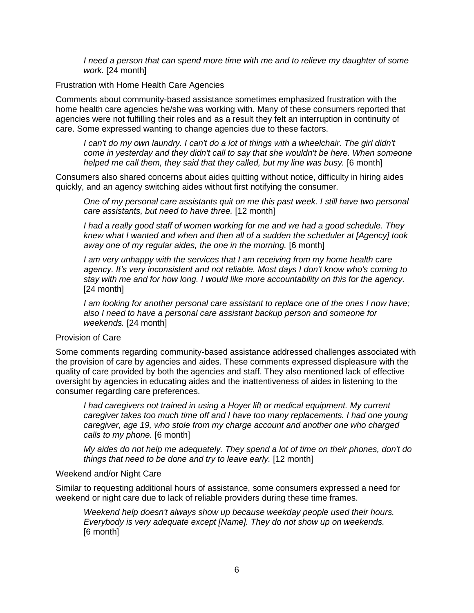*I* need a person that can spend more time with me and to relieve my daughter of some *work.* [24 month]

#### Frustration with Home Health Care Agencies

Comments about community-based assistance sometimes emphasized frustration with the home health care agencies he/she was working with. Many of these consumers reported that agencies were not fulfilling their roles and as a result they felt an interruption in continuity of care. Some expressed wanting to change agencies due to these factors.

*I can't do my own laundry. I can't do a lot of things with a wheelchair. The girl didn't come in yesterday and they didn't call to say that she wouldn't be here. When someone helped me call them, they said that they called, but my line was busy.* [6 month]

Consumers also shared concerns about aides quitting without notice, difficulty in hiring aides quickly, and an agency switching aides without first notifying the consumer.

*One of my personal care assistants quit on me this past week. I still have two personal care assistants, but need to have three.* [12 month]

*I had a really good staff of women working for me and we had a good schedule. They knew what I wanted and when and then all of a sudden the scheduler at [Agency] took away one of my regular aides, the one in the morning.* [6 month]

*I am very unhappy with the services that I am receiving from my home health care agency. It's very inconsistent and not reliable. Most days I don't know who's coming to stay with me and for how long. I would like more accountability on this for the agency.* [24 month]

*I am looking for another personal care assistant to replace one of the ones I now have; also I need to have a personal care assistant backup person and someone for weekends.* [24 month]

#### Provision of Care

Some comments regarding community-based assistance addressed challenges associated with the provision of care by agencies and aides. These comments expressed displeasure with the quality of care provided by both the agencies and staff. They also mentioned lack of effective oversight by agencies in educating aides and the inattentiveness of aides in listening to the consumer regarding care preferences.

*I* had caregivers not trained in using a Hoyer lift or medical equipment. My current *caregiver takes too much time off and I have too many replacements. I had one young caregiver, age 19, who stole from my charge account and another one who charged calls to my phone.* [6 month]

*My aides do not help me adequately. They spend a lot of time on their phones, don't do things that need to be done and try to leave early.* [12 month]

#### Weekend and/or Night Care

Similar to requesting additional hours of assistance, some consumers expressed a need for weekend or night care due to lack of reliable providers during these time frames.

*Weekend help doesn't always show up because weekday people used their hours. Everybody is very adequate except [Name]. They do not show up on weekends.* [6 month]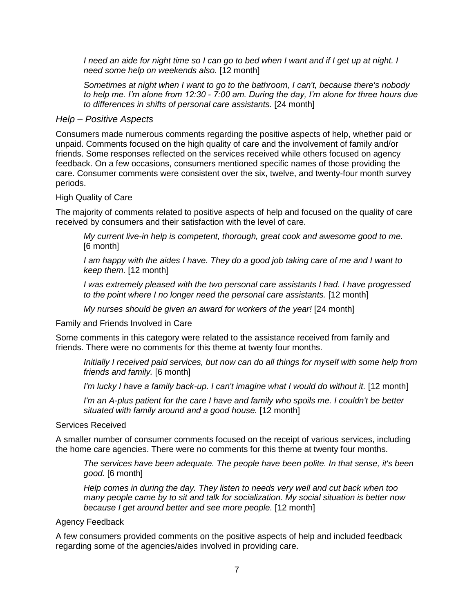*I need an aide for night time so I can go to bed when I want and if I get up at night. I need some help on weekends also.* [12 month]

*Sometimes at night when I want to go to the bathroom, I can't, because there's nobody to help me. I'm alone from 12:30 - 7:00 am. During the day, I'm alone for three hours due to differences in shifts of personal care assistants.* [24 month]

#### *Help – Positive Aspects*

Consumers made numerous comments regarding the positive aspects of help, whether paid or unpaid. Comments focused on the high quality of care and the involvement of family and/or friends. Some responses reflected on the services received while others focused on agency feedback. On a few occasions, consumers mentioned specific names of those providing the care. Consumer comments were consistent over the six, twelve, and twenty-four month survey periods.

#### High Quality of Care

The majority of comments related to positive aspects of help and focused on the quality of care received by consumers and their satisfaction with the level of care.

*My current live-in help is competent, thorough, great cook and awesome good to me.* [6 month]

*I am happy with the aides I have. They do a good job taking care of me and I want to keep them.* [12 month]

*I was extremely pleased with the two personal care assistants I had. I have progressed to the point where I no longer need the personal care assistants.* [12 month]

*My nurses should be given an award for workers of the year!* [24 month]

Family and Friends Involved in Care

Some comments in this category were related to the assistance received from family and friends. There were no comments for this theme at twenty four months.

*Initially I received paid services, but now can do all things for myself with some help from friends and family.* [6 month]

*I'm lucky I have a family back-up. I can't imagine what I would do without it.* [12 month]

*I'm an A-plus patient for the care I have and family who spoils me. I couldn't be better situated with family around and a good house.* [12 month]

Services Received

A smaller number of consumer comments focused on the receipt of various services, including the home care agencies. There were no comments for this theme at twenty four months.

*The services have been adequate. The people have been polite. In that sense, it's been good.* [6 month]

*Help comes in during the day. They listen to needs very well and cut back when too many people came by to sit and talk for socialization. My social situation is better now because I get around better and see more people.* [12 month]

#### Agency Feedback

A few consumers provided comments on the positive aspects of help and included feedback regarding some of the agencies/aides involved in providing care.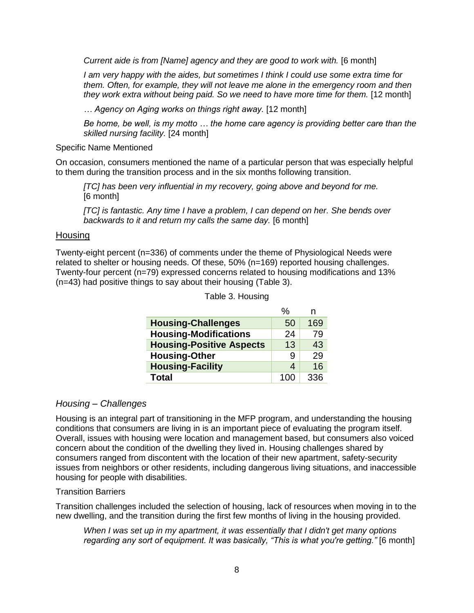*Current aide is from [Name] agency and they are good to work with.* [6 month]

*I am very happy with the aides, but sometimes I think I could use some extra time for them. Often, for example, they will not leave me alone in the emergency room and then they work extra without being paid. So we need to have more time for them.* [12 month]

*… Agency on Aging works on things right away.* [12 month]

*Be home, be well, is my motto … the home care agency is providing better care than the skilled nursing facility.* [24 month]

Specific Name Mentioned

On occasion, consumers mentioned the name of a particular person that was especially helpful to them during the transition process and in the six months following transition.

*[TC] has been very influential in my recovery, going above and beyond for me.*  [6 month]

*[TC] is fantastic. Any time I have a problem, I can depend on her. She bends over backwards to it and return my calls the same day.* [6 month]

#### **Housing**

Twenty-eight percent (n=336) of comments under the theme of Physiological Needs were related to shelter or housing needs. Of these, 50% (n=169) reported housing challenges. Twenty-four percent (n=79) expressed concerns related to housing modifications and 13% (n=43) had positive things to say about their housing (Table 3).

|                                 | %   | n   |
|---------------------------------|-----|-----|
| <b>Housing-Challenges</b>       | 50  | 169 |
| <b>Housing-Modifications</b>    | 24  | 79  |
| <b>Housing-Positive Aspects</b> | 13  | 43  |
| <b>Housing-Other</b>            | 9   | 29  |
| <b>Housing-Facility</b>         | 4   | 16  |
| <b>Total</b>                    | 100 | 336 |

Table 3. Housing

#### *Housing – Challenges*

Housing is an integral part of transitioning in the MFP program, and understanding the housing conditions that consumers are living in is an important piece of evaluating the program itself. Overall, issues with housing were location and management based, but consumers also voiced concern about the condition of the dwelling they lived in. Housing challenges shared by consumers ranged from discontent with the location of their new apartment, safety-security issues from neighbors or other residents, including dangerous living situations, and inaccessible housing for people with disabilities.

#### Transition Barriers

Transition challenges included the selection of housing, lack of resources when moving in to the new dwelling, and the transition during the first few months of living in the housing provided.

*When I was set up in my apartment, it was essentially that I didn't get many options regarding any sort of equipment. It was basically, "This is what you're getting."* [6 month]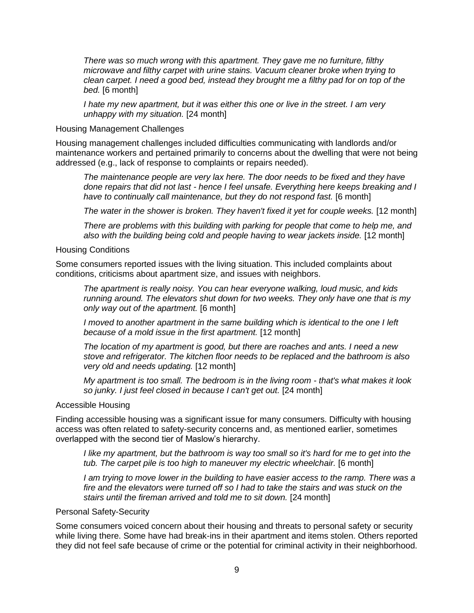*There was so much wrong with this apartment. They gave me no furniture, filthy microwave and filthy carpet with urine stains. Vacuum cleaner broke when trying to clean carpet. I need a good bed, instead they brought me a filthy pad for on top of the bed.* [6 month]

*I hate my new apartment, but it was either this one or live in the street. I am very unhappy with my situation.* [24 month]

#### Housing Management Challenges

Housing management challenges included difficulties communicating with landlords and/or maintenance workers and pertained primarily to concerns about the dwelling that were not being addressed (e.g., lack of response to complaints or repairs needed).

*The maintenance people are very lax here. The door needs to be fixed and they have done repairs that did not last - hence I feel unsafe. Everything here keeps breaking and I have to continually call maintenance, but they do not respond fast.* [6 month]

The water in the shower is broken. They haven't fixed it yet for couple weeks. [12 month]

*There are problems with this building with parking for people that come to help me, and also with the building being cold and people having to wear jackets inside.* [12 month]

#### Housing Conditions

Some consumers reported issues with the living situation. This included complaints about conditions, criticisms about apartment size, and issues with neighbors.

*The apartment is really noisy. You can hear everyone walking, loud music, and kids running around. The elevators shut down for two weeks. They only have one that is my only way out of the apartment.* [6 month]

*I* moved to another apartment in the same building which is identical to the one I left *because of a mold issue in the first apartment.* [12 month]

*The location of my apartment is good, but there are roaches and ants. I need a new stove and refrigerator. The kitchen floor needs to be replaced and the bathroom is also very old and needs updating.* [12 month]

*My apartment is too small. The bedroom is in the living room - that's what makes it look so junky. I just feel closed in because I can't get out.* [24 month]

#### Accessible Housing

Finding accessible housing was a significant issue for many consumers. Difficulty with housing access was often related to safety-security concerns and, as mentioned earlier, sometimes overlapped with the second tier of Maslow's hierarchy.

*I like my apartment, but the bathroom is way too small so it's hard for me to get into the tub. The carpet pile is too high to maneuver my electric wheelchair.* [6 month]

*I am trying to move lower in the building to have easier access to the ramp. There was a fire and the elevators were turned off so I had to take the stairs and was stuck on the stairs until the fireman arrived and told me to sit down.* [24 month]

#### Personal Safety-Security

Some consumers voiced concern about their housing and threats to personal safety or security while living there. Some have had break-ins in their apartment and items stolen. Others reported they did not feel safe because of crime or the potential for criminal activity in their neighborhood.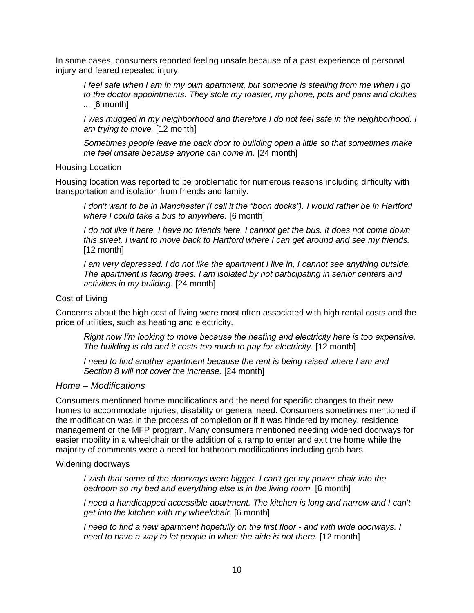In some cases, consumers reported feeling unsafe because of a past experience of personal injury and feared repeated injury.

*I feel safe when I am in my own apartment, but someone is stealing from me when I go to the doctor appointments. They stole my toaster, my phone, pots and pans and clothes ...* [6 month]

*I was mugged in my neighborhood and therefore I do not feel safe in the neighborhood. I am trying to move.* [12 month]

*Sometimes people leave the back door to building open a little so that sometimes make me feel unsafe because anyone can come in.* [24 month]

Housing Location

Housing location was reported to be problematic for numerous reasons including difficulty with transportation and isolation from friends and family.

*I don't want to be in Manchester (I call it the "boon docks"). I would rather be in Hartford where I could take a bus to anywhere.* [6 month]

*I do not like it here. I have no friends here. I cannot get the bus. It does not come down this street. I want to move back to Hartford where I can get around and see my friends.* [12 month]

*I am very depressed. I do not like the apartment I live in, I cannot see anything outside. The apartment is facing trees. I am isolated by not participating in senior centers and activities in my building.* [24 month]

#### Cost of Living

Concerns about the high cost of living were most often associated with high rental costs and the price of utilities, such as heating and electricity.

*Right now I'm looking to move because the heating and electricity here is too expensive. The building is old and it costs too much to pay for electricity.* [12 month]

*I need to find another apartment because the rent is being raised where I am and Section 8 will not cover the increase.* [24 month]

#### *Home – Modifications*

Consumers mentioned home modifications and the need for specific changes to their new homes to accommodate injuries, disability or general need. Consumers sometimes mentioned if the modification was in the process of completion or if it was hindered by money, residence management or the MFP program. Many consumers mentioned needing widened doorways for easier mobility in a wheelchair or the addition of a ramp to enter and exit the home while the majority of comments were a need for bathroom modifications including grab bars.

Widening doorways

*I* wish that some of the doorways were bigger. I can't get my power chair into the *bedroom so my bed and everything else is in the living room.* [6 month]

*I need a handicapped accessible apartment. The kitchen is long and narrow and I can't get into the kitchen with my wheelchair.* [6 month]

*I need to find a new apartment hopefully on the first floor - and with wide doorways. I need to have a way to let people in when the aide is not there.* [12 month]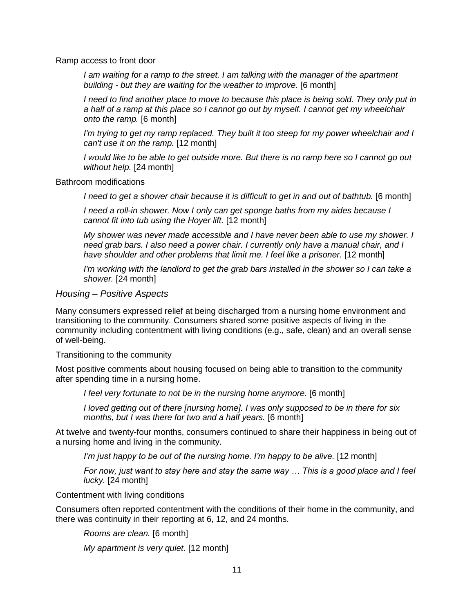#### Ramp access to front door

*I am waiting for a ramp to the street. I am talking with the manager of the apartment building - but they are waiting for the weather to improve.* [6 month]

*I* need to find another place to move to because this place is being sold. They only put in *a half of a ramp at this place so I cannot go out by myself. I cannot get my wheelchair onto the ramp.* [6 month]

*I'm trying to get my ramp replaced. They built it too steep for my power wheelchair and I can't use it on the ramp.* [12 month]

*I would like to be able to get outside more. But there is no ramp here so I cannot go out without help.* [24 month]

#### Bathroom modifications

*I need to get a shower chair because it is difficult to get in and out of bathtub.* [6 month]

*I need a roll-in shower. Now I only can get sponge baths from my aides because I cannot fit into tub using the Hoyer lift.* [12 month]

*My shower was never made accessible and I have never been able to use my shower. I need grab bars. I also need a power chair. I currently only have a manual chair, and I have shoulder and other problems that limit me. I feel like a prisoner.* [12 month]

*I'm working with the landlord to get the grab bars installed in the shower so I can take a shower.* [24 month]

#### *Housing – Positive Aspects*

Many consumers expressed relief at being discharged from a nursing home environment and transitioning to the community. Consumers shared some positive aspects of living in the community including contentment with living conditions (e.g., safe, clean) and an overall sense of well-being.

Transitioning to the community

Most positive comments about housing focused on being able to transition to the community after spending time in a nursing home.

*I feel very fortunate to not be in the nursing home anymore.* [6 month]

*I loved getting out of there [nursing home]. I was only supposed to be in there for six months, but I was there for two and a half years.* [6 month]

At twelve and twenty-four months, consumers continued to share their happiness in being out of a nursing home and living in the community.

*I'm just happy to be out of the nursing home. I'm happy to be alive.* [12 month]

*For now, just want to stay here and stay the same way … This is a good place and I feel lucky.* [24 month]

Contentment with living conditions

Consumers often reported contentment with the conditions of their home in the community, and there was continuity in their reporting at 6, 12, and 24 months.

*Rooms are clean.* [6 month]

*My apartment is very quiet.* [12 month]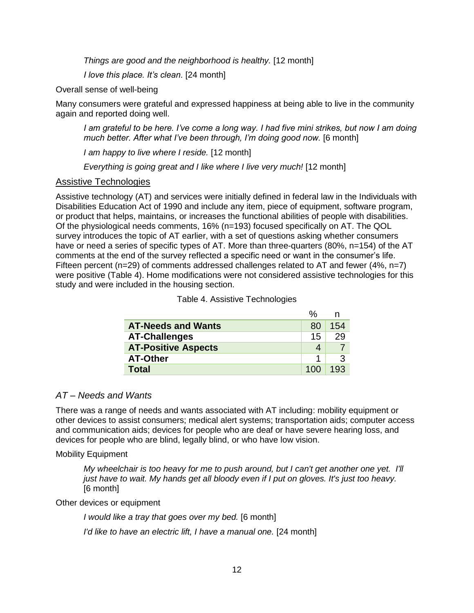*Things are good and the neighborhood is healthy.* [12 month]

*I love this place. It's clean.* [24 month]

Overall sense of well-being

Many consumers were grateful and expressed happiness at being able to live in the community again and reported doing well.

*I am grateful to be here. I've come a long way. I had five mini strikes, but now I am doing much better. After what I've been through, I'm doing good now.* [6 month]

*I am happy to live where I reside.* [12 month]

*Everything is going great and I like where I live very much!* [12 month]

#### Assistive Technologies

Assistive technology (AT) and services were initially defined in federal law in the Individuals with Disabilities Education Act of 1990 and include any item, piece of equipment, software program, or product that helps, maintains, or increases the functional abilities of people with disabilities. Of the physiological needs comments, 16% (n=193) focused specifically on AT. The QOL survey introduces the topic of AT earlier, with a set of questions asking whether consumers have or need a series of specific types of AT. More than three-quarters (80%, n=154) of the AT comments at the end of the survey reflected a specific need or want in the consumer's life. Fifteen percent (n=29) of comments addressed challenges related to AT and fewer (4%, n=7) were positive (Table 4). Home modifications were not considered assistive technologies for this study and were included in the housing section.

| <b>AT-Needs and Wants</b>  | 80  | 154 |
|----------------------------|-----|-----|
| <b>AT-Challenges</b>       | 15  | 29  |
| <b>AT-Positive Aspects</b> |     |     |
| <b>AT-Other</b>            |     |     |
| <b>Total</b>               | 100 | 193 |

|  | Table 4. Assistive Technologies |  |  |
|--|---------------------------------|--|--|
|--|---------------------------------|--|--|

#### *AT – Needs and Wants*

There was a range of needs and wants associated with AT including: mobility equipment or other devices to assist consumers; medical alert systems; transportation aids; computer access and communication aids; devices for people who are deaf or have severe hearing loss, and devices for people who are blind, legally blind, or who have low vision.

#### Mobility Equipment

*My wheelchair is too heavy for me to push around, but I can't get another one yet. I'll just have to wait. My hands get all bloody even if I put on gloves. It's just too heavy.*  [6 month]

Other devices or equipment

*I would like a tray that goes over my bed.* [6 month]

*I'd like to have an electric lift, I have a manual one.* [24 month]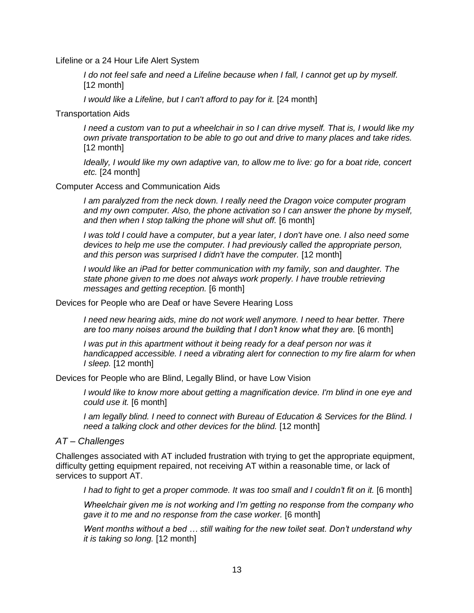Lifeline or a 24 Hour Life Alert System

*I do not feel safe and need a Lifeline because when I fall, I cannot get up by myself.* [12 month]

*I would like a Lifeline, but I can't afford to pay for it.* [24 month]

Transportation Aids

*I need a custom van to put a wheelchair in so I can drive myself. That is, I would like my own private transportation to be able to go out and drive to many places and take rides.* [12 month]

*Ideally, I would like my own adaptive van, to allow me to live: go for a boat ride, concert etc.* [24 month]

#### Computer Access and Communication Aids

*I am paralyzed from the neck down. I really need the Dragon voice computer program and my own computer. Also, the phone activation so I can answer the phone by myself, and then when I stop talking the phone will shut off.* [6 month]

*I was told I could have a computer, but a year later, I don't have one. I also need some devices to help me use the computer. I had previously called the appropriate person, and this person was surprised I didn't have the computer.* [12 month]

*I would like an iPad for better communication with my family, son and daughter. The state phone given to me does not always work properly. I have trouble retrieving messages and getting reception.* [6 month]

#### Devices for People who are Deaf or have Severe Hearing Loss

*I need new hearing aids, mine do not work well anymore. I need to hear better. There are too many noises around the building that I don't know what they are.* [6 month]

*I* was put in this apartment without it being ready for a deaf person nor was it *handicapped accessible. I need a vibrating alert for connection to my fire alarm for when I sleep.* [12 month]

Devices for People who are Blind, Legally Blind, or have Low Vision

*I would like to know more about getting a magnification device. I'm blind in one eye and could use it.* [6 month]

*I am legally blind. I need to connect with Bureau of Education & Services for the Blind. I need a talking clock and other devices for the blind.* [12 month]

#### *AT – Challenges*

Challenges associated with AT included frustration with trying to get the appropriate equipment, difficulty getting equipment repaired, not receiving AT within a reasonable time, or lack of services to support AT.

*I had to fight to get a proper commode. It was too small and I couldn't fit on it.* [6 month]

*Wheelchair given me is not working and I'm getting no response from the company who gave it to me and no response from the case worker.* [6 month]

*Went months without a bed … still waiting for the new toilet seat. Don't understand why it is taking so long.* [12 month]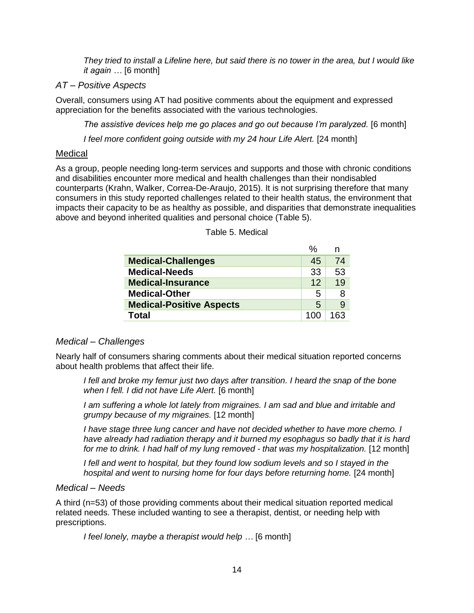*They tried to install a Lifeline here, but said there is no tower in the area, but I would like it again …* [6 month]

#### *AT – Positive Aspects*

Overall, consumers using AT had positive comments about the equipment and expressed appreciation for the benefits associated with the various technologies.

*The assistive devices help me go places and go out because I'm paralyzed.* [6 month]

*I feel more confident going outside with my 24 hour Life Alert.* [24 month]

#### Medical

As a group, people needing long-term services and supports and those with chronic conditions and disabilities encounter more medical and health challenges than their nondisabled counterparts (Krahn, Walker, Correa-De-Araujo, 2015). It is not surprising therefore that many consumers in this study reported challenges related to their health status, the environment that impacts their capacity to be as healthy as possible, and disparities that demonstrate inequalities above and beyond inherited qualities and personal choice (Table 5).

|                                 | %       | n   |
|---------------------------------|---------|-----|
| <b>Medical-Challenges</b>       | 45      | 74  |
| <b>Medical-Needs</b>            | 33      | 53  |
| <b>Medical-Insurance</b>        | $12 \,$ | 19  |
| <b>Medical-Other</b>            | 5       | 8   |
| <b>Medical-Positive Aspects</b> | 5       | 9   |
| Total                           |         | 163 |

Table 5. Medical

#### *Medical – Challenges*

Nearly half of consumers sharing comments about their medical situation reported concerns about health problems that affect their life.

*I fell and broke my femur just two days after transition. I heard the snap of the bone when I fell. I did not have Life Alert.* [6 month]

*I am suffering a whole lot lately from migraines. I am sad and blue and irritable and grumpy because of my migraines.* [12 month]

*I have stage three lung cancer and have not decided whether to have more chemo. I have already had radiation therapy and it burned my esophagus so badly that it is hard for me to drink. I had half of my lung removed - that was my hospitalization.* [12 month]

*I fell and went to hospital, but they found low sodium levels and so I stayed in the hospital and went to nursing home for four days before returning home.* [24 month]

#### *Medical – Needs*

A third (n=53) of those providing comments about their medical situation reported medical related needs. These included wanting to see a therapist, dentist, or needing help with prescriptions.

*I feel lonely, maybe a therapist would help …* [6 month]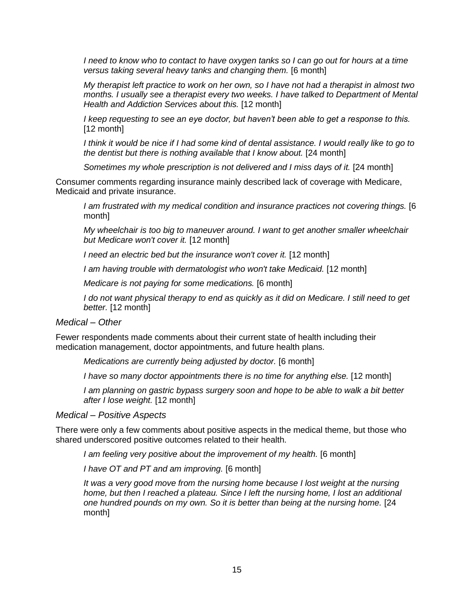*I need to know who to contact to have oxygen tanks so I can go out for hours at a time versus taking several heavy tanks and changing them.* [6 month]

*My therapist left practice to work on her own, so I have not had a therapist in almost two months. I usually see a therapist every two weeks. I have talked to Department of Mental Health and Addiction Services about this.* [12 month]

*I keep requesting to see an eye doctor, but haven't been able to get a response to this.* [12 month]

*I think it would be nice if I had some kind of dental assistance. I would really like to go to the dentist but there is nothing available that I know about.* [24 month]

*Sometimes my whole prescription is not delivered and I miss days of it.* [24 month]

Consumer comments regarding insurance mainly described lack of coverage with Medicare, Medicaid and private insurance.

*I am frustrated with my medical condition and insurance practices not covering things.* [6 month]

*My wheelchair is too big to maneuver around. I want to get another smaller wheelchair but Medicare won't cover it.* [12 month]

*I need an electric bed but the insurance won't cover it.* [12 month]

*I am having trouble with dermatologist who won't take Medicaid.* [12 month]

*Medicare is not paying for some medications.* [6 month]

*I* do not want physical therapy to end as quickly as it did on Medicare. I still need to get *better.* [12 month]

#### *Medical – Other*

Fewer respondents made comments about their current state of health including their medication management, doctor appointments, and future health plans.

*Medications are currently being adjusted by doctor.* [6 month]

*I have so many doctor appointments there is no time for anything else.* [12 month]

*I am planning on gastric bypass surgery soon and hope to be able to walk a bit better after I lose weight.* [12 month]

*Medical – Positive Aspects*

There were only a few comments about positive aspects in the medical theme, but those who shared underscored positive outcomes related to their health.

*I am feeling very positive about the improvement of my health.* [6 month]

*I have OT and PT and am improving.* [6 month]

*It was a very good move from the nursing home because I lost weight at the nursing home, but then I reached a plateau. Since I left the nursing home, I lost an additional one hundred pounds on my own. So it is better than being at the nursing home.* [24 month]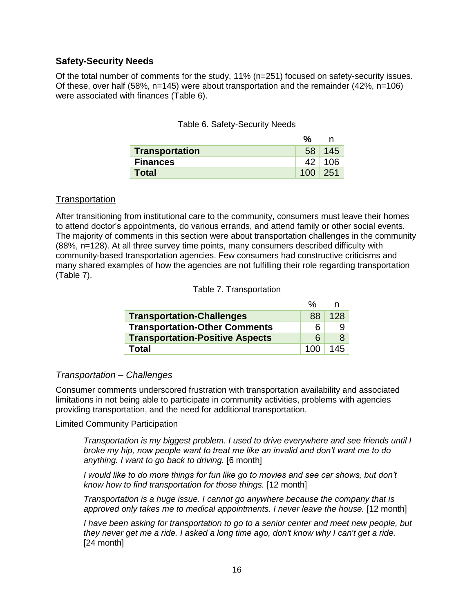#### **Safety-Security Needs**

Of the total number of comments for the study, 11% (n=251) focused on safety-security issues. Of these, over half  $(58\%, n=145)$  were about transportation and the remainder  $(42\%, n=106)$ were associated with finances (Table 6).

|  | Table 6. Safety-Security Needs |  |
|--|--------------------------------|--|
|--|--------------------------------|--|

|                       | $\%$  |               |
|-----------------------|-------|---------------|
| <b>Transportation</b> | 58    | 145           |
| <b>Finances</b>       |       | $42 \mid 106$ |
| <b>Total</b>          | 100 l | -251          |

#### **Transportation**

After transitioning from institutional care to the community, consumers must leave their homes to attend doctor's appointments, do various errands, and attend family or other social events. The majority of comments in this section were about transportation challenges in the community (88%, n=128). At all three survey time points, many consumers described difficulty with community-based transportation agencies. Few consumers had constructive criticisms and many shared examples of how the agencies are not fulfilling their role regarding transportation (Table 7).

#### Table 7. Transportation

|                                        | $\%$ |     |
|----------------------------------------|------|-----|
| <b>Transportation-Challenges</b>       | 88   | 128 |
| <b>Transportation-Other Comments</b>   | 6    |     |
| <b>Transportation-Positive Aspects</b> | 6    | 8   |
| Total                                  | 100  | 145 |

#### *Transportation – Challenges*

Consumer comments underscored frustration with transportation availability and associated limitations in not being able to participate in community activities, problems with agencies providing transportation, and the need for additional transportation.

Limited Community Participation

*Transportation is my biggest problem. I used to drive everywhere and see friends until I broke my hip, now people want to treat me like an invalid and don't want me to do anything. I want to go back to driving.* [6 month]

*I* would like to do more things for fun like go to movies and see car shows, but don't *know how to find transportation for those things.* [12 month]

*Transportation is a huge issue. I cannot go anywhere because the company that is approved only takes me to medical appointments. I never leave the house.* [12 month]

*I have been asking for transportation to go to a senior center and meet new people, but they never get me a ride. I asked a long time ago, don't know why I can't get a ride.*  [24 month]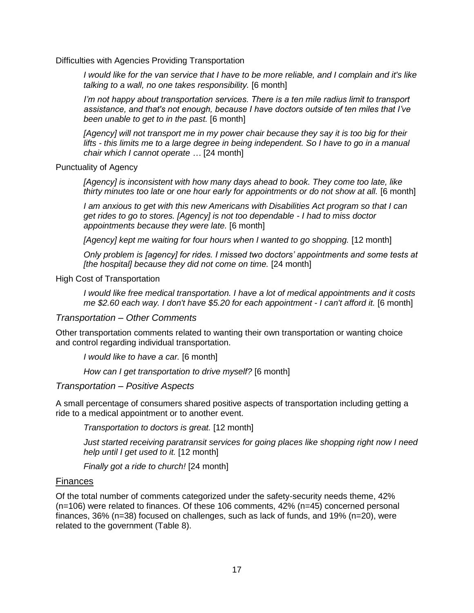Difficulties with Agencies Providing Transportation

*I would like for the van service that I have to be more reliable, and I complain and it's like talking to a wall, no one takes responsibility.* [6 month]

*I'm not happy about transportation services. There is a ten mile radius limit to transport assistance, and that's not enough, because I have doctors outside of ten miles that I've been unable to get to in the past.* [6 month]

*[Agency] will not transport me in my power chair because they say it is too big for their lifts - this limits me to a large degree in being independent. So I have to go in a manual chair which I cannot operate …* [24 month]

Punctuality of Agency

*[Agency] is inconsistent with how many days ahead to book. They come too late, like thirty minutes too late or one hour early for appointments or do not show at all.* [6 month]

*I am anxious to get with this new Americans with Disabilities Act program so that I can get rides to go to stores. [Agency] is not too dependable - I had to miss doctor appointments because they were late.* [6 month]

*[Agency] kept me waiting for four hours when I wanted to go shopping.* [12 month]

*Only problem is [agency] for rides. I missed two doctors' appointments and some tests at [the hospital] because they did not come on time.* [24 month]

High Cost of Transportation

*I would like free medical transportation. I have a lot of medical appointments and it costs me \$2.60 each way. I don't have \$5.20 for each appointment - I can't afford it.* [6 month]

#### *Transportation – Other Comments*

Other transportation comments related to wanting their own transportation or wanting choice and control regarding individual transportation.

*I would like to have a car.* [6 month]

*How can I get transportation to drive myself?* [6 month]

#### *Transportation – Positive Aspects*

A small percentage of consumers shared positive aspects of transportation including getting a ride to a medical appointment or to another event.

*Transportation to doctors is great.* [12 month]

*Just started receiving paratransit services for going places like shopping right now I need help until I get used to it.* [12 month]

*Finally got a ride to church!* [24 month]

#### Finances

Of the total number of comments categorized under the safety-security needs theme, 42% (n=106) were related to finances. Of these 106 comments, 42% (n=45) concerned personal finances, 36% (n=38) focused on challenges, such as lack of funds, and 19% (n=20), were related to the government (Table 8).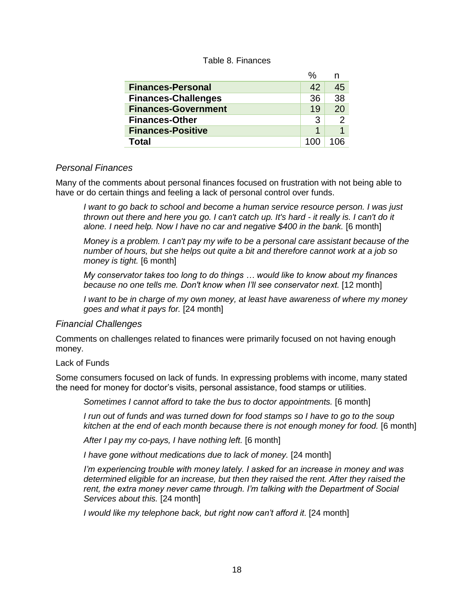#### Table 8. Finances

|                            | $\frac{0}{0}$ | n  |
|----------------------------|---------------|----|
| <b>Finances-Personal</b>   | 42            | 45 |
| <b>Finances-Challenges</b> | 36            | 38 |
| <b>Finances-Government</b> | 19            | 20 |
| <b>Finances-Other</b>      | 3             |    |
| <b>Finances-Positive</b>   | 1             |    |
| Total                      |               |    |

#### *Personal Finances*

Many of the comments about personal finances focused on frustration with not being able to have or do certain things and feeling a lack of personal control over funds.

*I want to go back to school and become a human service resource person. I was just thrown out there and here you go. I can't catch up. It's hard - it really is. I can't do it alone. I need help. Now I have no car and negative \$400 in the bank.* [6 month]

*Money is a problem. I can't pay my wife to be a personal care assistant because of the number of hours, but she helps out quite a bit and therefore cannot work at a job so money is tight.* [6 month]

*My conservator takes too long to do things … would like to know about my finances because no one tells me. Don't know when I'll see conservator next.* [12 month]

*I want to be in charge of my own money, at least have awareness of where my money goes and what it pays for.* [24 month]

#### *Financial Challenges*

Comments on challenges related to finances were primarily focused on not having enough money.

#### Lack of Funds

Some consumers focused on lack of funds. In expressing problems with income, many stated the need for money for doctor's visits, personal assistance, food stamps or utilities.

*Sometimes I cannot afford to take the bus to doctor appointments.* [6 month]

*I run out of funds and was turned down for food stamps so I have to go to the soup kitchen at the end of each month because there is not enough money for food.* [6 month]

*After I pay my co-pays, I have nothing left.* [6 month]

*I have gone without medications due to lack of money.* [24 month]

*I'm experiencing trouble with money lately. I asked for an increase in money and was determined eligible for an increase, but then they raised the rent. After they raised the rent, the extra money never came through. I'm talking with the Department of Social Services about this.* [24 month]

*I would like my telephone back, but right now can't afford it.* [24 month]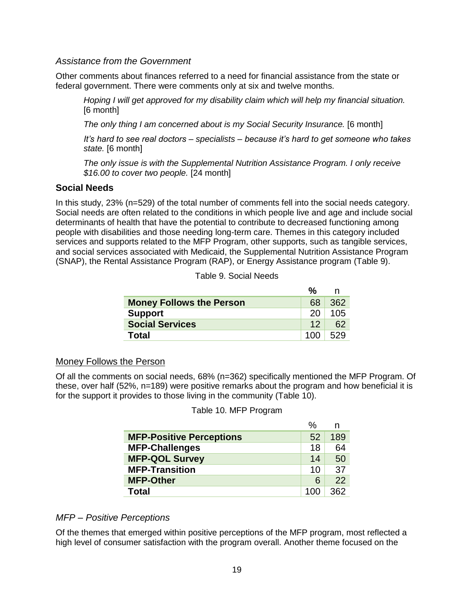#### *Assistance from the Government*

Other comments about finances referred to a need for financial assistance from the state or federal government. There were comments only at six and twelve months.

*Hoping I will get approved for my disability claim which will help my financial situation.* [6 month]

*The only thing I am concerned about is my Social Security Insurance.* [6 month]

*It's hard to see real doctors – specialists – because it's hard to get someone who takes state.* [6 month]

*The only issue is with the Supplemental Nutrition Assistance Program. I only receive \$16.00 to cover two people.* [24 month]

#### **Social Needs**

In this study, 23% (n=529) of the total number of comments fell into the social needs category. Social needs are often related to the conditions in which people live and age and include social determinants of health that have the potential to contribute to decreased functioning among people with disabilities and those needing long-term care. Themes in this category included services and supports related to the MFP Program, other supports, such as tangible services, and social services associated with Medicaid, the Supplemental Nutrition Assistance Program (SNAP), the Rental Assistance Program (RAP), or Energy Assistance program (Table 9).

| <b>Money Follows the Person</b> | 68              | 362 |
|---------------------------------|-----------------|-----|
| <b>Support</b>                  | 20              | 105 |
| <b>Social Services</b>          | 12 <sub>1</sub> | 62  |
| Total                           | 100             | 529 |

| Table 9. Social Needs |  |  |  |  |
|-----------------------|--|--|--|--|
|-----------------------|--|--|--|--|

#### Money Follows the Person

Of all the comments on social needs, 68% (n=362) specifically mentioned the MFP Program. Of these, over half (52%, n=189) were positive remarks about the program and how beneficial it is for the support it provides to those living in the community (Table 10).

#### Table 10. MFP Program

|                                 | $\%$ | n   |
|---------------------------------|------|-----|
| <b>MFP-Positive Perceptions</b> | 52   | 189 |
| <b>MFP-Challenges</b>           | 18   | 64  |
| <b>MFP-QOL Survey</b>           | 14   | 50  |
| <b>MFP-Transition</b>           | 10   | 37  |
| <b>MFP-Other</b>                | 6    | 22  |
| <b>Total</b>                    |      | 362 |

#### *MFP – Positive Perceptions*

Of the themes that emerged within positive perceptions of the MFP program, most reflected a high level of consumer satisfaction with the program overall. Another theme focused on the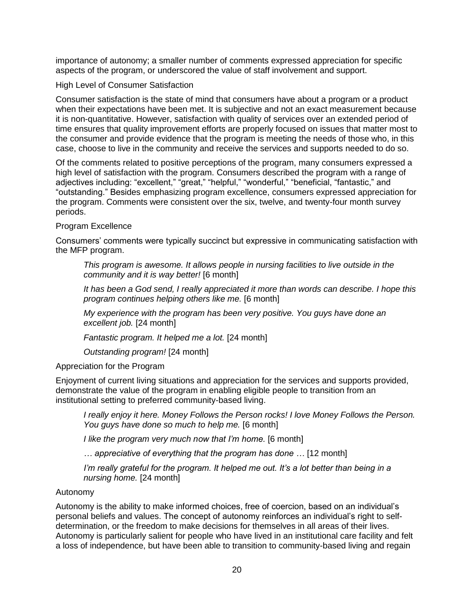importance of autonomy; a smaller number of comments expressed appreciation for specific aspects of the program, or underscored the value of staff involvement and support.

#### High Level of Consumer Satisfaction

Consumer satisfaction is the state of mind that consumers have about a program or a product when their expectations have been met. It is subjective and not an exact measurement because it is non-quantitative. However, satisfaction with quality of services over an extended period of time ensures that quality improvement efforts are properly focused on issues that matter most to the consumer and provide evidence that the program is meeting the needs of those who, in this case, choose to live in the community and receive the services and supports needed to do so.

Of the comments related to positive perceptions of the program, many consumers expressed a high level of satisfaction with the program. Consumers described the program with a range of adjectives including: "excellent," "great," "helpful," "wonderful," "beneficial, "fantastic," and "outstanding." Besides emphasizing program excellence, consumers expressed appreciation for the program. Comments were consistent over the six, twelve, and twenty-four month survey periods.

#### Program Excellence

Consumers' comments were typically succinct but expressive in communicating satisfaction with the MFP program.

*This program is awesome. It allows people in nursing facilities to live outside in the community and it is way better!* [6 month]

*It has been a God send, I really appreciated it more than words can describe. I hope this program continues helping others like me.* [6 month]

*My experience with the program has been very positive. You guys have done an excellent job.* [24 month]

*Fantastic program. It helped me a lot.* [24 month]

*Outstanding program!* [24 month]

#### Appreciation for the Program

Enjoyment of current living situations and appreciation for the services and supports provided, demonstrate the value of the program in enabling eligible people to transition from an institutional setting to preferred community-based living.

*I really enjoy it here. Money Follows the Person rocks! I love Money Follows the Person. You guys have done so much to help me.* [6 month]

*I like the program very much now that I'm home.* [6 month]

*… appreciative of everything that the program has done …* [12 month]

*I'm really grateful for the program. It helped me out. It's a lot better than being in a nursing home.* [24 month]

#### Autonomy

Autonomy is the ability to make informed choices, free of coercion, based on an individual's personal beliefs and values. The concept of autonomy reinforces an individual's right to selfdetermination, or the freedom to make decisions for themselves in all areas of their lives. Autonomy is particularly salient for people who have lived in an institutional care facility and felt a loss of independence, but have been able to transition to community-based living and regain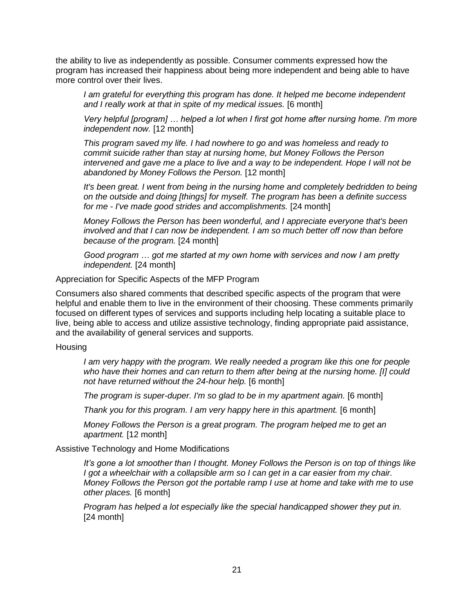the ability to live as independently as possible. Consumer comments expressed how the program has increased their happiness about being more independent and being able to have more control over their lives.

*I am grateful for everything this program has done. It helped me become independent and I really work at that in spite of my medical issues.* [6 month]

*Very helpful [program] … helped a lot when I first got home after nursing home. I'm more independent now.* [12 month]

*This program saved my life. I had nowhere to go and was homeless and ready to commit suicide rather than stay at nursing home, but Money Follows the Person intervened and gave me a place to live and a way to be independent. Hope I will not be abandoned by Money Follows the Person.* [12 month]

*It's been great. I went from being in the nursing home and completely bedridden to being on the outside and doing [things] for myself. The program has been a definite success for me - I've made good strides and accomplishments.* [24 month]

*Money Follows the Person has been wonderful, and I appreciate everyone that's been involved and that I can now be independent. I am so much better off now than before because of the program.* [24 month]

*Good program … got me started at my own home with services and now I am pretty independent.* [24 month]

Appreciation for Specific Aspects of the MFP Program

Consumers also shared comments that described specific aspects of the program that were helpful and enable them to live in the environment of their choosing. These comments primarily focused on different types of services and supports including help locating a suitable place to live, being able to access and utilize assistive technology, finding appropriate paid assistance, and the availability of general services and supports.

**Housing** 

*I am very happy with the program. We really needed a program like this one for people who have their homes and can return to them after being at the nursing home. [I] could not have returned without the 24-hour help.* [6 month]

*The program is super-duper. I'm so glad to be in my apartment again.* [6 month]

*Thank you for this program. I am very happy here in this apartment.* [6 month]

*Money Follows the Person is a great program. The program helped me to get an apartment.* [12 month]

Assistive Technology and Home Modifications

*It's gone a lot smoother than I thought. Money Follows the Person is on top of things like I got a wheelchair with a collapsible arm so I can get in a car easier from my chair. Money Follows the Person got the portable ramp I use at home and take with me to use other places.* [6 month]

*Program has helped a lot especially like the special handicapped shower they put in.* [24 month]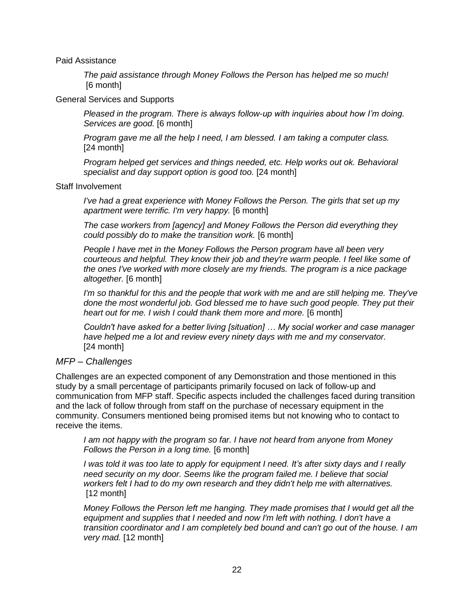Paid Assistance

*The paid assistance through Money Follows the Person has helped me so much!* [6 month]

#### General Services and Supports

*Pleased in the program. There is always follow-up with inquiries about how I'm doing. Services are good.* [6 month]

*Program gave me all the help I need, I am blessed. I am taking a computer class.*  [24 month]

*Program helped get services and things needed, etc. Help works out ok. Behavioral specialist and day support option is good too.* [24 month]

#### Staff Involvement

*I've had a great experience with Money Follows the Person. The girls that set up my apartment were terrific. I'm very happy.* [6 month]

*The case workers from [agency] and Money Follows the Person did everything they could possibly do to make the transition work.* [6 month]

*People I have met in the Money Follows the Person program have all been very courteous and helpful. They know their job and they're warm people. I feel like some of the ones I've worked with more closely are my friends. The program is a nice package altogether.* [6 month]

*I'm so thankful for this and the people that work with me and are still helping me. They've done the most wonderful job. God blessed me to have such good people. They put their heart out for me. I wish I could thank them more and more.* [6 month]

*Couldn't have asked for a better living [situation] … My social worker and case manager have helped me a lot and review every ninety days with me and my conservator.* [24 month]

#### *MFP – Challenges*

Challenges are an expected component of any Demonstration and those mentioned in this study by a small percentage of participants primarily focused on lack of follow-up and communication from MFP staff. Specific aspects included the challenges faced during transition and the lack of follow through from staff on the purchase of necessary equipment in the community. Consumers mentioned being promised items but not knowing who to contact to receive the items.

*I am not happy with the program so far. I have not heard from anyone from Money Follows the Person in a long time.* [6 month]

*I was told it was too late to apply for equipment I need. It's after sixty days and I really need security on my door. Seems like the program failed me. I believe that social workers felt I had to do my own research and they didn't help me with alternatives.* [12 month]

*Money Follows the Person left me hanging. They made promises that I would get all the equipment and supplies that I needed and now I'm left with nothing. I don't have a transition coordinator and I am completely bed bound and can't go out of the house. I am very mad.* [12 month]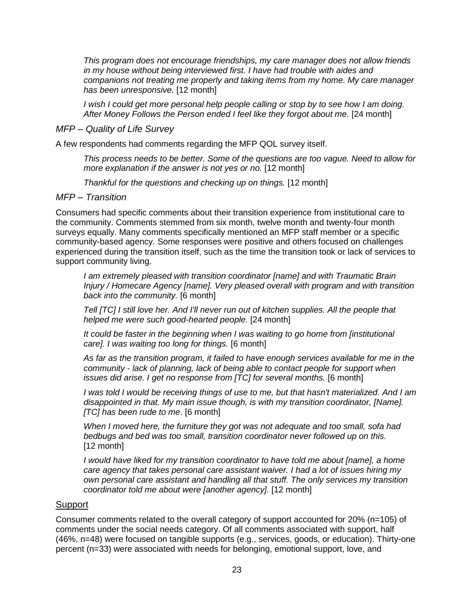*This program does not encourage friendships, my care manager does not allow friends in my house without being interviewed first. I have had trouble with aides and companions not treating me properly and taking items from my home. My care manager has been unresponsive.* [12 month]

*I wish I could get more personal help people calling or stop by to see how I am doing. After Money Follows the Person ended I feel like they forgot about me.* [24 month]

#### *MFP – Quality of Life Survey*

A few respondents had comments regarding the MFP QOL survey itself.

*This process needs to be better. Some of the questions are too vague. Need to allow for more explanation if the answer is not yes or no.* [12 month]

*Thankful for the questions and checking up on things.* [12 month]

#### *MFP – Transition*

Consumers had specific comments about their transition experience from institutional care to the community. Comments stemmed from six month, twelve month and twenty-four month surveys equally. Many comments specifically mentioned an MFP staff member or a specific community-based agency. Some responses were positive and others focused on challenges experienced during the transition itself, such as the time the transition took or lack of services to support community living.

*I am extremely pleased with transition coordinator [name] and with Traumatic Brain Injury / Homecare Agency [name]. Very pleased overall with program and with transition back into the community.* [6 month]

*Tell [TC] I still love her. And I'll never run out of kitchen supplies. All the people that helped me were such good-hearted people.* [24 month]

*It could be faster in the beginning when I was waiting to go home from [institutional care]. I was waiting too long for things.* [6 month]

*As far as the transition program, it failed to have enough services available for me in the community - lack of planning, lack of being able to contact people for support when issues did arise. I get no response from [TC] for several months.* [6 month]

*I was told I would be receiving things of use to me, but that hasn't materialized. And I am disappointed in that. My main issue though, is with my transition coordinator, [Name]. [TC] has been rude to me*. [6 month]

*When I moved here, the furniture they got was not adequate and too small, sofa had bedbugs and bed was too small, transition coordinator never followed up on this.* [12 month]

*I would have liked for my transition coordinator to have told me about [name], a home care agency that takes personal care assistant waiver. I had a lot of issues hiring my own personal care assistant and handling all that stuff. The only services my transition coordinator told me about were [another agency].* [12 month]

#### Support

Consumer comments related to the overall category of support accounted for 20% (n=105) of comments under the social needs category. Of all comments associated with support, half (46%, n=48) were focused on tangible supports (e.g., services, goods, or education). Thirty-one percent (n=33) were associated with needs for belonging, emotional support, love, and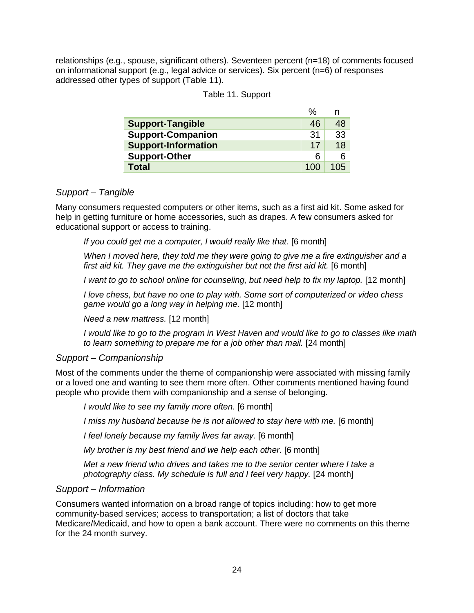relationships (e.g., spouse, significant others). Seventeen percent (n=18) of comments focused on informational support (e.g., legal advice or services). Six percent (n=6) of responses addressed other types of support (Table 11).

|  |  | Table 11. Support |
|--|--|-------------------|
|--|--|-------------------|

| <b>Support-Tangible</b>    | 46  | 48  |
|----------------------------|-----|-----|
| <b>Support-Companion</b>   | 31  | 33  |
| <b>Support-Information</b> | 17  | 18  |
| <b>Support-Other</b>       | 6   | 6   |
| <b>Total</b>               | 100 | 105 |

#### *Support – Tangible*

Many consumers requested computers or other items, such as a first aid kit. Some asked for help in getting furniture or home accessories, such as drapes. A few consumers asked for educational support or access to training.

If you could get me a computer, I would really like that. [6 month]

*When I moved here, they told me they were going to give me a fire extinguisher and a first aid kit. They gave me the extinguisher but not the first aid kit.* [6 month]

*I want to go to school online for counseling, but need help to fix my laptop.* [12 month]

*I love chess, but have no one to play with. Some sort of computerized or video chess game would go a long way in helping me.* [12 month]

*Need a new mattress.* [12 month]

*I would like to go to the program in West Haven and would like to go to classes like math to learn something to prepare me for a job other than mail.* [24 month]

#### *Support – Companionship*

Most of the comments under the theme of companionship were associated with missing family or a loved one and wanting to see them more often. Other comments mentioned having found people who provide them with companionship and a sense of belonging.

*I would like to see my family more often.* [6 month]

*I miss my husband because he is not allowed to stay here with me.* [6 month]

*I feel lonely because my family lives far away.* [6 month]

*My brother is my best friend and we help each other.* [6 month]

*Met a new friend who drives and takes me to the senior center where I take a photography class. My schedule is full and I feel very happy.* [24 month]

#### *Support – Information*

Consumers wanted information on a broad range of topics including: how to get more community-based services; access to transportation; a list of doctors that take Medicare/Medicaid, and how to open a bank account. There were no comments on this theme for the 24 month survey.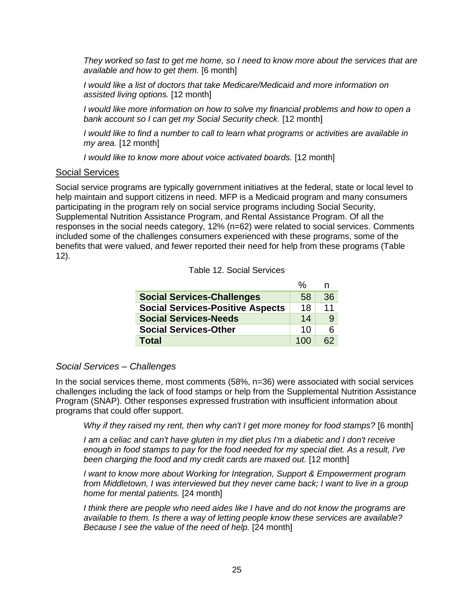*They worked so fast to get me home, so I need to know more about the services that are available and how to get them.* [6 month]

*I would like a list of doctors that take Medicare/Medicaid and more information on assisted living options.* [12 month]

*I would like more information on how to solve my financial problems and how to open a bank account so I can get my Social Security check.* [12 month]

*I would like to find a number to call to learn what programs or activities are available in my area.* [12 month]

*I would like to know more about voice activated boards.* [12 month]

#### Social Services

Social service programs are typically government initiatives at the federal, state or local level to help maintain and support citizens in need. MFP is a Medicaid program and many consumers participating in the program rely on social service programs including Social Security, Supplemental Nutrition Assistance Program, and Rental Assistance Program. Of all the responses in the social needs category, 12% (n=62) were related to social services. Comments included some of the challenges consumers experienced with these programs, some of the benefits that were valued, and fewer reported their need for help from these programs (Table 12).

#### Table 12. Social Services

|                                         | %   | n  |
|-----------------------------------------|-----|----|
| <b>Social Services-Challenges</b>       | 58  | 36 |
| <b>Social Services-Positive Aspects</b> | 18  | 11 |
| <b>Social Services-Needs</b>            | 14  | 9  |
| <b>Social Services-Other</b>            | 10  | ิค |
| <b>Total</b>                            | 100 | 62 |

#### *Social Services – Challenges*

In the social services theme, most comments (58%, n=36) were associated with social services challenges including the lack of food stamps or help from the Supplemental Nutrition Assistance Program (SNAP). Other responses expressed frustration with insufficient information about programs that could offer support.

*Why if they raised my rent, then why can't I get more money for food stamps?* [6 month]

*I am a celiac and can't have gluten in my diet plus I'm a diabetic and I don't receive enough in food stamps to pay for the food needed for my special diet. As a result, I've been charging the food and my credit cards are maxed out.* [12 month]

*I want to know more about Working for Integration, Support & Empowerment program from Middletown, I was interviewed but they never came back; I want to live in a group home for mental patients.* [24 month]

*I think there are people who need aides like I have and do not know the programs are available to them. Is there a way of letting people know these services are available? Because I see the value of the need of help.* [24 month]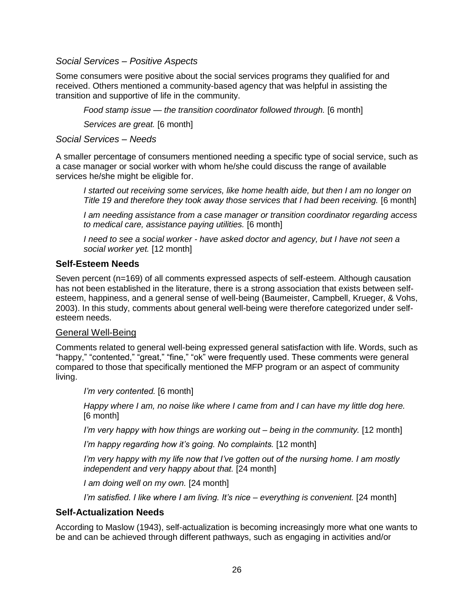#### *Social Services – Positive Aspects*

Some consumers were positive about the social services programs they qualified for and received. Others mentioned a community-based agency that was helpful in assisting the transition and supportive of life in the community.

*Food stamp issue — the transition coordinator followed through.* [6 month]

*Services are great.* [6 month]

*Social Services – Needs*

A smaller percentage of consumers mentioned needing a specific type of social service, such as a case manager or social worker with whom he/she could discuss the range of available services he/she might be eligible for.

*I started out receiving some services, like home health aide, but then I am no longer on Title 19 and therefore they took away those services that I had been receiving.* [6 month]

*I am needing assistance from a case manager or transition coordinator regarding access to medical care, assistance paying utilities.* [6 month]

*I need to see a social worker - have asked doctor and agency, but I have not seen a social worker yet.* [12 month]

#### **Self-Esteem Needs**

Seven percent (n=169) of all comments expressed aspects of self-esteem. Although causation has not been established in the literature, there is a strong association that exists between selfesteem, happiness, and a general sense of well-being (Baumeister, Campbell, Krueger, & Vohs, 2003). In this study, comments about general well-being were therefore categorized under selfesteem needs.

#### General Well-Being

Comments related to general well-being expressed general satisfaction with life. Words, such as "happy," "contented," "great," "fine," "ok" were frequently used. These comments were general compared to those that specifically mentioned the MFP program or an aspect of community living.

*I'm very contented.* [6 month]

*Happy where I am, no noise like where I came from and I can have my little dog here.* [6 month]

*I'm very happy with how things are working out – being in the community.* [12 month]

*I'm happy regarding how it's going. No complaints.* [12 month]

*I'm very happy with my life now that I've gotten out of the nursing home. I am mostly independent and very happy about that.* [24 month]

*I am doing well on my own.* [24 month]

*I'm satisfied. I like where I am living. It's nice – everything is convenient.* [24 month]

#### **Self-Actualization Needs**

According to Maslow (1943), self-actualization is becoming increasingly more what one wants to be and can be achieved through different pathways, such as engaging in activities and/or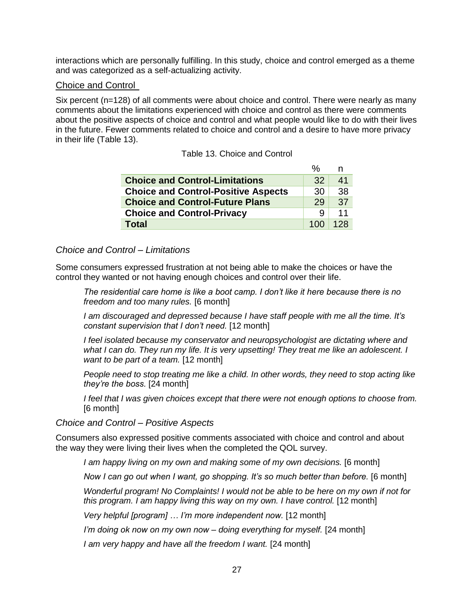interactions which are personally fulfilling. In this study, choice and control emerged as a theme and was categorized as a self-actualizing activity.

#### Choice and Control

Six percent (n=128) of all comments were about choice and control. There were nearly as many comments about the limitations experienced with choice and control as there were comments about the positive aspects of choice and control and what people would like to do with their lives in the future. Fewer comments related to choice and control and a desire to have more privacy in their life (Table 13).

Table 13. Choice and Control

|                                            | %   |     |
|--------------------------------------------|-----|-----|
| <b>Choice and Control-Limitations</b>      | 32  | 41  |
| <b>Choice and Control-Positive Aspects</b> | 30  | 38  |
| <b>Choice and Control-Future Plans</b>     | 29  | 37  |
| <b>Choice and Control-Privacy</b>          | Q   | 11  |
| <b>Total</b>                               | 100 | 128 |

#### *Choice and Control – Limitations*

Some consumers expressed frustration at not being able to make the choices or have the control they wanted or not having enough choices and control over their life.

*The residential care home is like a boot camp. I don't like it here because there is no freedom and too many rules.* [6 month]

*I am discouraged and depressed because I have staff people with me all the time. It's constant supervision that I don't need.* [12 month]

*I feel isolated because my conservator and neuropsychologist are dictating where and what I can do. They run my life. It is very upsetting! They treat me like an adolescent. I want to be part of a team.* [12 month]

*People need to stop treating me like a child. In other words, they need to stop acting like they're the boss.* [24 month]

*I feel that I was given choices except that there were not enough options to choose from.* [6 month]

*Choice and Control – Positive Aspects* 

Consumers also expressed positive comments associated with choice and control and about the way they were living their lives when the completed the QOL survey.

*I am happy living on my own and making some of my own decisions.* [6 month]

*Now I can go out when I want, go shopping. It's so much better than before.* [6 month]

*Wonderful program! No Complaints! I would not be able to be here on my own if not for this program. I am happy living this way on my own. I have control.* [12 month]

*Very helpful [program] … I'm more independent now.* [12 month]

*I'm doing ok now on my own now – doing everything for myself.* [24 month]

*I am very happy and have all the freedom I want.* [24 month]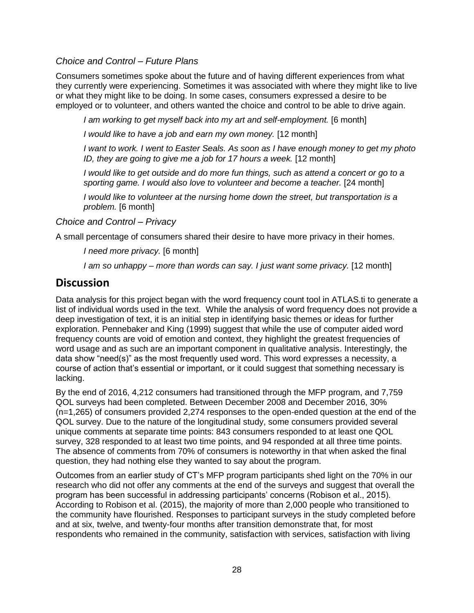#### *Choice and Control – Future Plans*

Consumers sometimes spoke about the future and of having different experiences from what they currently were experiencing. Sometimes it was associated with where they might like to live or what they might like to be doing. In some cases, consumers expressed a desire to be employed or to volunteer, and others wanted the choice and control to be able to drive again.

*I am working to get myself back into my art and self-employment.* [6 month]

*I would like to have a job and earn my own money.* [12 month]

*I want to work. I went to Easter Seals. As soon as I have enough money to get my photo ID, they are going to give me a job for 17 hours a week.* [12 month]

*I would like to get outside and do more fun things, such as attend a concert or go to a sporting game. I would also love to volunteer and become a teacher.* [24 month]

*I would like to volunteer at the nursing home down the street, but transportation is a problem.* [6 month]

*Choice and Control – Privacy* 

A small percentage of consumers shared their desire to have more privacy in their homes.

*I need more privacy.* [6 month]

*I am so unhappy – more than words can say. I just want some privacy.* [12 month]

### **Discussion**

Data analysis for this project began with the word frequency count tool in ATLAS.ti to generate a list of individual words used in the text. While the analysis of word frequency does not provide a deep investigation of text, it is an initial step in identifying basic themes or ideas for further exploration. Pennebaker and King (1999) suggest that while the use of computer aided word frequency counts are void of emotion and context, they highlight the greatest frequencies of word usage and as such are an important component in qualitative analysis. Interestingly, the data show "need(s)" as the most frequently used word. This word expresses a necessity, a course of action that's essential or important, or it could suggest that something necessary is lacking.

By the end of 2016, 4,212 consumers had transitioned through the MFP program, and 7,759 QOL surveys had been completed. Between December 2008 and December 2016, 30% (n=1,265) of consumers provided 2,274 responses to the open-ended question at the end of the QOL survey. Due to the nature of the longitudinal study, some consumers provided several unique comments at separate time points: 843 consumers responded to at least one QOL survey, 328 responded to at least two time points, and 94 responded at all three time points. The absence of comments from 70% of consumers is noteworthy in that when asked the final question, they had nothing else they wanted to say about the program.

Outcomes from an earlier study of CT's MFP program participants shed light on the 70% in our research who did not offer any comments at the end of the surveys and suggest that overall the program has been successful in addressing participants' concerns (Robison et al., 2015). According to Robison et al. (2015), the majority of more than 2,000 people who transitioned to the community have flourished. Responses to participant surveys in the study completed before and at six, twelve, and twenty-four months after transition demonstrate that, for most respondents who remained in the community, satisfaction with services, satisfaction with living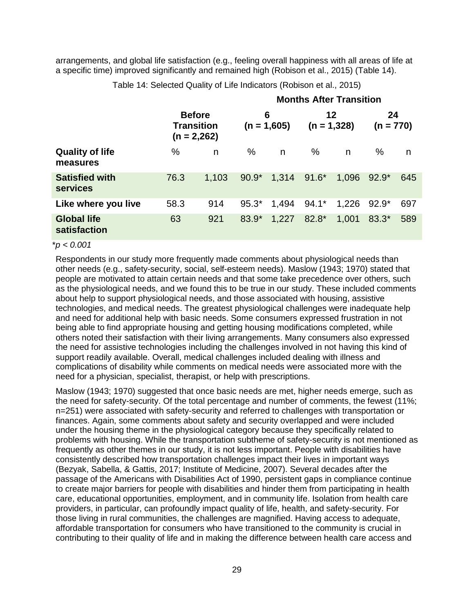arrangements, and global life satisfaction (e.g., feeling overall happiness with all areas of life at a specific time) improved significantly and remained high (Robison et al., 2015) (Table 14).

|                                          |      |                                                     |         |                    |         | <b>Months After Transition</b> |                   |     |
|------------------------------------------|------|-----------------------------------------------------|---------|--------------------|---------|--------------------------------|-------------------|-----|
|                                          |      | <b>Before</b><br><b>Transition</b><br>$(n = 2,262)$ |         | 6<br>$(n = 1,605)$ |         | 12<br>$(n = 1,328)$            | 24<br>$(n = 770)$ |     |
| <b>Quality of life</b><br>measures       | $\%$ | n                                                   | $\%$    | n                  | $\%$    | n                              | %                 | n   |
| <b>Satisfied with</b><br><b>services</b> | 76.3 | 1,103                                               | $90.9*$ | 1,314              | $91.6*$ | 1,096                          | $92.9*$           | 645 |
| Like where you live                      | 58.3 | 914                                                 | $95.3*$ | 1,494              | $94.1*$ | 1,226                          | $92.9*$           | 697 |
| <b>Global life</b><br>satisfaction       | 63   | 921                                                 | 83.9*   | 1,227              | 82.8*   | 1,001                          | 83.3*             | 589 |

Table 14: Selected Quality of Life Indicators (Robison et al., 2015)

#### \**p < 0.001*

Respondents in our study more frequently made comments about physiological needs than other needs (e.g., safety-security, social, self-esteem needs). Maslow (1943; 1970) stated that people are motivated to attain certain needs and that some take precedence over others, such as the physiological needs, and we found this to be true in our study. These included comments about help to support physiological needs, and those associated with housing, assistive technologies, and medical needs. The greatest physiological challenges were inadequate help and need for additional help with basic needs. Some consumers expressed frustration in not being able to find appropriate housing and getting housing modifications completed, while others noted their satisfaction with their living arrangements. Many consumers also expressed the need for assistive technologies including the challenges involved in not having this kind of support readily available. Overall, medical challenges included dealing with illness and complications of disability while comments on medical needs were associated more with the need for a physician, specialist, therapist, or help with prescriptions.

Maslow (1943; 1970) suggested that once basic needs are met, higher needs emerge, such as the need for safety-security. Of the total percentage and number of comments, the fewest (11%; n=251) were associated with safety-security and referred to challenges with transportation or finances. Again, some comments about safety and security overlapped and were included under the housing theme in the physiological category because they specifically related to problems with housing. While the transportation subtheme of safety-security is not mentioned as frequently as other themes in our study, it is not less important. People with disabilities have consistently described how transportation challenges impact their lives in important ways (Bezyak, Sabella, & Gattis, 2017; Institute of Medicine, 2007). Several decades after the passage of the Americans with Disabilities Act of 1990, persistent gaps in compliance continue to create major barriers for people with disabilities and hinder them from participating in health care, educational opportunities, employment, and in community life. Isolation from health care providers, in particular, can profoundly impact quality of life, health, and safety-security. For those living in rural communities, the challenges are magnified. Having access to adequate, affordable transportation for consumers who have transitioned to the community is crucial in contributing to their quality of life and in making the difference between health care access and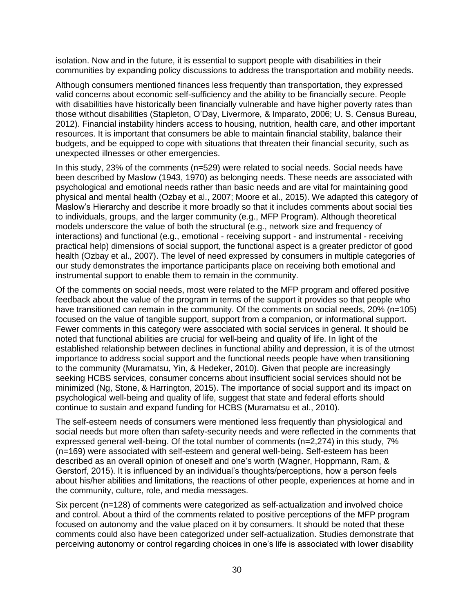isolation. Now and in the future, it is essential to support people with disabilities in their communities by expanding policy discussions to address the transportation and mobility needs.

Although consumers mentioned finances less frequently than transportation, they expressed valid concerns about economic self-sufficiency and the ability to be financially secure. People with disabilities have historically been financially vulnerable and have higher poverty rates than those without disabilities (Stapleton, O'Day, Livermore, & Imparato, 2006; U. S. Census Bureau, 2012). Financial instability hinders access to housing, nutrition, health care, and other important resources. It is important that consumers be able to maintain financial stability, balance their budgets, and be equipped to cope with situations that threaten their financial security, such as unexpected illnesses or other emergencies.

In this study, 23% of the comments (n=529) were related to social needs. Social needs have been described by Maslow (1943, 1970) as belonging needs. These needs are associated with psychological and emotional needs rather than basic needs and are vital for maintaining good physical and mental health (Ozbay et al., 2007; Moore et al., 2015). We adapted this category of Maslow's Hierarchy and describe it more broadly so that it includes comments about social ties to individuals, groups, and the larger community (e.g., MFP Program). Although theoretical models underscore the value of both the structural (e.g., network size and frequency of interactions) and functional (e.g., emotional - receiving support - and instrumental - receiving practical help) dimensions of social support, the functional aspect is a greater predictor of good health (Ozbay et al., 2007). The level of need expressed by consumers in multiple categories of our study demonstrates the importance participants place on receiving both emotional and instrumental support to enable them to remain in the community.

Of the comments on social needs, most were related to the MFP program and offered positive feedback about the value of the program in terms of the support it provides so that people who have transitioned can remain in the community. Of the comments on social needs, 20% (n=105) focused on the value of tangible support, support from a companion, or informational support. Fewer comments in this category were associated with social services in general. It should be noted that functional abilities are crucial for well-being and quality of life. In light of the established relationship between declines in functional ability and depression, it is of the utmost importance to address social support and the functional needs people have when transitioning to the community (Muramatsu, Yin, & Hedeker, 2010). Given that people are increasingly seeking HCBS services, consumer concerns about insufficient social services should not be minimized (Ng, Stone, & Harrington, 2015). The importance of social support and its impact on psychological well-being and quality of life, suggest that state and federal efforts should continue to sustain and expand funding for HCBS (Muramatsu et al., 2010).

The self-esteem needs of consumers were mentioned less frequently than physiological and social needs but more often than safety-security needs and were reflected in the comments that expressed general well-being. Of the total number of comments (n=2,274) in this study, 7% (n=169) were associated with self-esteem and general well-being. Self-esteem has been described as an overall opinion of oneself and one's worth (Wagner, Hoppmann, Ram, & Gerstorf, 2015). It is influenced by an individual's thoughts/perceptions, how a person feels about his/her abilities and limitations, the reactions of other people, experiences at home and in the community, culture, role, and media messages.

Six percent (n=128) of comments were categorized as self-actualization and involved choice and control. About a third of the comments related to positive perceptions of the MFP program focused on autonomy and the value placed on it by consumers. It should be noted that these comments could also have been categorized under self-actualization. Studies demonstrate that perceiving autonomy or control regarding choices in one's life is associated with lower disability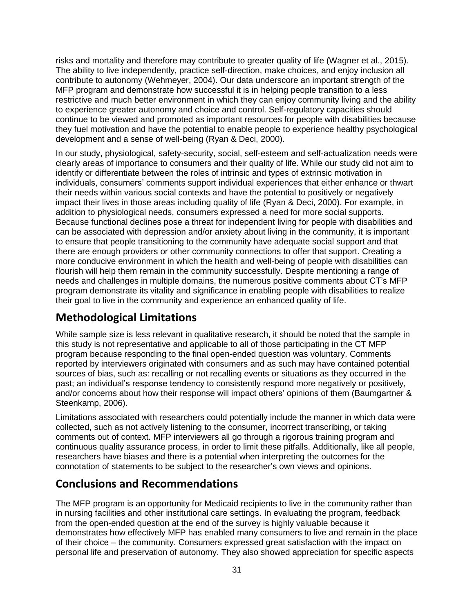risks and mortality and therefore may contribute to greater quality of life (Wagner et al., 2015). The ability to live independently, practice self-direction, make choices, and enjoy inclusion all contribute to autonomy (Wehmeyer, 2004). Our data underscore an important strength of the MFP program and demonstrate how successful it is in helping people transition to a less restrictive and much better environment in which they can enjoy community living and the ability to experience greater autonomy and choice and control. Self-regulatory capacities should continue to be viewed and promoted as important resources for people with disabilities because they fuel motivation and have the potential to enable people to experience healthy psychological development and a sense of well-being (Ryan & Deci, 2000).

In our study, physiological, safety-security, social, self-esteem and self-actualization needs were clearly areas of importance to consumers and their quality of life. While our study did not aim to identify or differentiate between the roles of intrinsic and types of extrinsic motivation in individuals, consumers' comments support individual experiences that either enhance or thwart their needs within various social contexts and have the potential to positively or negatively impact their lives in those areas including quality of life (Ryan & Deci, 2000). For example, in addition to physiological needs, consumers expressed a need for more social supports. Because functional declines pose a threat for independent living for people with disabilities and can be associated with depression and/or anxiety about living in the community, it is important to ensure that people transitioning to the community have adequate social support and that there are enough providers or other community connections to offer that support. Creating a more conducive environment in which the health and well-being of people with disabilities can flourish will help them remain in the community successfully. Despite mentioning a range of needs and challenges in multiple domains, the numerous positive comments about CT's MFP program demonstrate its vitality and significance in enabling people with disabilities to realize their goal to live in the community and experience an enhanced quality of life.

# **Methodological Limitations**

While sample size is less relevant in qualitative research, it should be noted that the sample in this study is not representative and applicable to all of those participating in the CT MFP program because responding to the final open-ended question was voluntary. Comments reported by interviewers originated with consumers and as such may have contained potential sources of bias, such as: recalling or not recalling events or situations as they occurred in the past; an individual's response tendency to consistently respond more negatively or positively, and/or concerns about how their response will impact others' opinions of them (Baumgartner & Steenkamp, 2006).

Limitations associated with researchers could potentially include the manner in which data were collected, such as not actively listening to the consumer, incorrect transcribing, or taking comments out of context. MFP interviewers all go through a rigorous training program and continuous quality assurance process, in order to limit these pitfalls. Additionally, like all people, researchers have biases and there is a potential when interpreting the outcomes for the connotation of statements to be subject to the researcher's own views and opinions.

# **Conclusions and Recommendations**

The MFP program is an opportunity for Medicaid recipients to live in the community rather than in nursing facilities and other institutional care settings. In evaluating the program, feedback from the open-ended question at the end of the survey is highly valuable because it demonstrates how effectively MFP has enabled many consumers to live and remain in the place of their choice – the community. Consumers expressed great satisfaction with the impact on personal life and preservation of autonomy. They also showed appreciation for specific aspects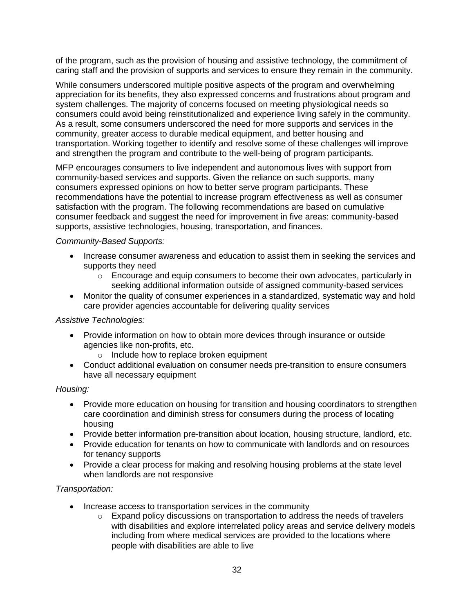of the program, such as the provision of housing and assistive technology, the commitment of caring staff and the provision of supports and services to ensure they remain in the community.

While consumers underscored multiple positive aspects of the program and overwhelming appreciation for its benefits, they also expressed concerns and frustrations about program and system challenges. The majority of concerns focused on meeting physiological needs so consumers could avoid being reinstitutionalized and experience living safely in the community. As a result, some consumers underscored the need for more supports and services in the community, greater access to durable medical equipment, and better housing and transportation. Working together to identify and resolve some of these challenges will improve and strengthen the program and contribute to the well-being of program participants.

MFP encourages consumers to live independent and autonomous lives with support from community-based services and supports. Given the reliance on such supports, many consumers expressed opinions on how to better serve program participants. These recommendations have the potential to increase program effectiveness as well as consumer satisfaction with the program. The following recommendations are based on cumulative consumer feedback and suggest the need for improvement in five areas: community-based supports, assistive technologies, housing, transportation, and finances.

#### *Community-Based Supports:*

- Increase consumer awareness and education to assist them in seeking the services and supports they need
	- $\circ$  Encourage and equip consumers to become their own advocates, particularly in seeking additional information outside of assigned community-based services
- Monitor the quality of consumer experiences in a standardized, systematic way and hold care provider agencies accountable for delivering quality services

#### *Assistive Technologies:*

- Provide information on how to obtain more devices through insurance or outside agencies like non-profits, etc.
	- o Include how to replace broken equipment
- Conduct additional evaluation on consumer needs pre-transition to ensure consumers have all necessary equipment

#### *Housing:*

- Provide more education on housing for transition and housing coordinators to strengthen care coordination and diminish stress for consumers during the process of locating housing
- Provide better information pre-transition about location, housing structure, landlord, etc.
- Provide education for tenants on how to communicate with landlords and on resources for tenancy supports
- Provide a clear process for making and resolving housing problems at the state level when landlords are not responsive

#### *Transportation:*

- Increase access to transportation services in the community
	- $\circ$  Expand policy discussions on transportation to address the needs of travelers with disabilities and explore interrelated policy areas and service delivery models including from where medical services are provided to the locations where people with disabilities are able to live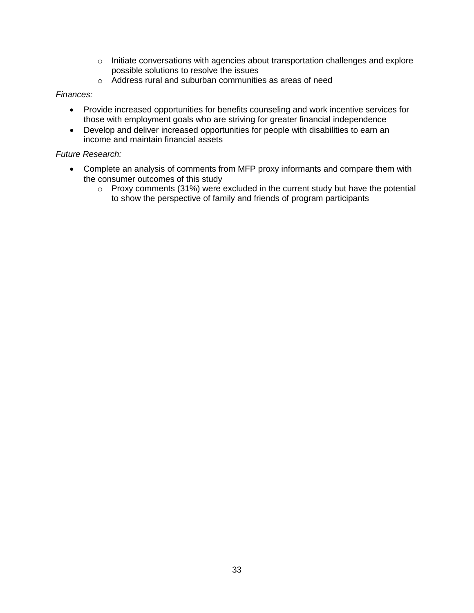- $\circ$  Initiate conversations with agencies about transportation challenges and explore possible solutions to resolve the issues
- o Address rural and suburban communities as areas of need

#### *Finances:*

- Provide increased opportunities for benefits counseling and work incentive services for those with employment goals who are striving for greater financial independence
- Develop and deliver increased opportunities for people with disabilities to earn an income and maintain financial assets

#### *Future Research:*

- Complete an analysis of comments from MFP proxy informants and compare them with the consumer outcomes of this study
	- o Proxy comments (31%) were excluded in the current study but have the potential to show the perspective of family and friends of program participants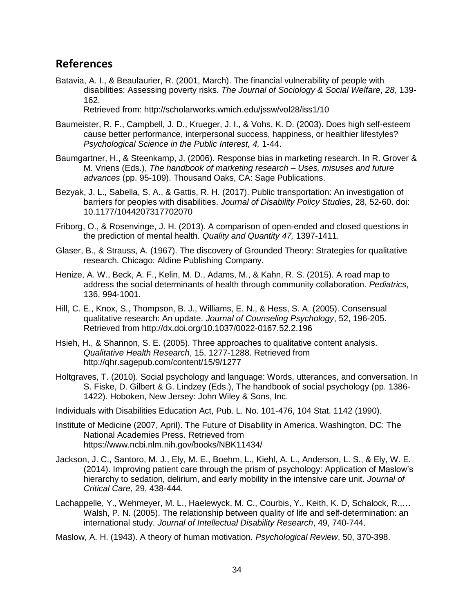## **References**

- Batavia, A. I., & Beaulaurier, R. (2001, March). The financial vulnerability of people with disabilities: Assessing poverty risks. *The Journal of Sociology & Social Welfare*, *28*, 139- 162. Retrieved from: http://scholarworks.wmich.edu/jssw/vol28/iss1/10
- Baumeister, R. F., Campbell, J. D., Krueger, J. I., & Vohs, K. D. (2003). Does high self-esteem cause better performance, interpersonal success, happiness, or healthier lifestyles? *Psychological Science in the Public Interest, 4,* 1-44.
- Baumgartner, H., & Steenkamp, J. (2006). Response bias in marketing research. In R. Grover & M. Vriens (Eds.), *The handbook of marketing research – Uses, misuses and future advances* (pp. 95-109). Thousand Oaks, CA: Sage Publications.
- Bezyak, J. L., Sabella, S. A., & Gattis, R. H. (2017). Public transportation: An investigation of barriers for peoples with disabilities. *Journal of Disability Policy Studies*, 28, 52-60. doi: 10.1177/1044207317702070
- Friborg, O., & Rosenvinge, J. H. (2013). A comparison of open-ended and closed questions in the prediction of mental health. *Quality and Quantity 47,* 1397-1411.
- Glaser, B., & Strauss, A. (1967). The discovery of Grounded Theory: Strategies for qualitative research. Chicago: Aldine Publishing Company.
- Henize, A. W., Beck, A. F., Kelin, M. D., Adams, M., & Kahn, R. S. (2015). A road map to address the social determinants of health through community collaboration. *Pediatrics*, 136, 994-1001.
- Hill, C. E., Knox, S., Thompson, B. J., Williams, E. N., & Hess, S. A. (2005). Consensual qualitative research: An update. *Journal of Counseling Psychology*, 52, 196-205. Retrieved from http://dx.doi.org/10.1037/0022-0167.52.2.196
- Hsieh, H., & Shannon, S. E. (2005). Three approaches to qualitative content analysis. *Qualitative Health Research*, 15, 1277-1288. Retrieved from http://qhr.sagepub.com/content/15/9/1277
- Holtgraves, T. (2010). Social psychology and language: Words, utterances, and conversation. In S. Fiske, D. Gilbert & G. Lindzey (Eds.), The handbook of social psychology (pp. 1386- 1422). Hoboken, New Jersey: John Wiley & Sons, Inc.

Individuals with Disabilities Education Act, Pub. L. No. 101-476, 104 Stat. 1142 (1990).

- Institute of Medicine (2007, April). The Future of Disability in America. Washington, DC: The National Academies Press. Retrieved from https://www.ncbi.nlm.nih.gov/books/NBK11434/
- Jackson, J. C., Santoro, M. J., Ely, M. E., Boehm, L., Kiehl, A. L., Anderson, L. S., & Ely, W. E. (2014). Improving patient care through the prism of psychology: Application of Maslow's hierarchy to sedation, delirium, and early mobility in the intensive care unit. *Journal of Critical Care*, 29, 438-444.
- Lachappelle, Y., Wehmeyer, M. L., Haelewyck, M. C., Courbis, Y., Keith, K. D, Schalock, R.,… Walsh, P. N. (2005). The relationship between quality of life and self-determination: an international study. *Journal of Intellectual Disability Research*, 49, 740-744.
- Maslow, A. H. (1943). A theory of human motivation. *Psychological Review*, 50, 370-398.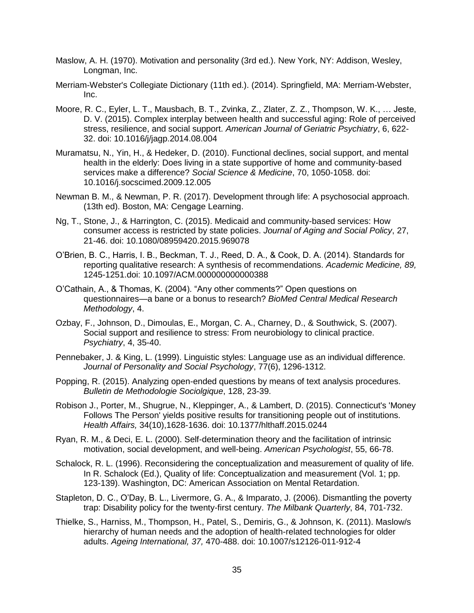- Maslow, A. H. (1970). Motivation and personality (3rd ed.). New York, NY: Addison, Wesley, Longman, Inc.
- Merriam-Webster's Collegiate Dictionary (11th ed.). (2014). Springfield, MA: Merriam-Webster, Inc.
- Moore, R. C., Eyler, L. T., Mausbach, B. T., Zvinka, Z., Zlater, Z. Z., Thompson, W. K., … Jeste, D. V. (2015). Complex interplay between health and successful aging: Role of perceived stress, resilience, and social support. *American Journal of Geriatric Psychiatry*, 6, 622- 32. doi: 10.1016/j/jagp.2014.08.004
- Muramatsu, N., Yin, H., & Hedeker, D. (2010). Functional declines, social support, and mental health in the elderly: Does living in a state supportive of home and community-based services make a difference? *Social Science & Medicine*, 70, 1050-1058. doi: 10.1016/j.socscimed.2009.12.005
- Newman B. M., & Newman, P. R. (2017). Development through life: A psychosocial approach. (13th ed). Boston, MA: Cengage Learning.
- Ng, T., Stone, J., & Harrington, C. (2015). Medicaid and community-based services: How consumer access is restricted by state policies. *Journal of Aging and Social Policy*, 27, 21-46. doi: 10.1080/08959420.2015.969078
- O'Brien, B. C., Harris, I. B., Beckman, T. J., Reed, D. A., & Cook, D. A. (2014). Standards for reporting qualitative research: A synthesis of recommendations. *Academic Medicine, 89,*  1245-1251.doi: 10.1097/ACM.000000000000388
- O'Cathain, A., & Thomas, K. (2004). "Any other comments?" Open questions on questionnaires—a bane or a bonus to research? *BioMed Central Medical Research Methodology*, 4.
- Ozbay, F., Johnson, D., Dimoulas, E., Morgan, C. A., Charney, D., & Southwick, S. (2007). Social support and resilience to stress: From neurobiology to clinical practice. *Psychiatry*, 4, 35-40.
- Pennebaker, J. & King, L. (1999). Linguistic styles: Language use as an individual difference. *Journal of Personality and Social Psychology*, 77(6), 1296-1312.
- Popping, R. (2015). Analyzing open-ended questions by means of text analysis procedures. *Bulletin de Methodologie Sociolgique*, 128, 23-39.
- Robison J., Porter, M., Shugrue, N., Kleppinger, A., & Lambert, D. (2015). Connecticut's 'Money Follows The Person' yields positive results for transitioning people out of institutions. *Health Affairs,* 34(10),1628-1636. doi: 10.1377/hlthaff.2015.0244
- Ryan, R. M., & Deci, E. L. (2000). Self-determination theory and the facilitation of intrinsic motivation, social development, and well-being. *American Psychologist*, 55, 66-78.
- Schalock, R. L. (1996). Reconsidering the conceptualization and measurement of quality of life. In R. Schalock (Ed.), Quality of life: Conceptualization and measurement (Vol. 1; pp. 123-139). Washington, DC: American Association on Mental Retardation.
- Stapleton, D. C., O'Day, B. L., Livermore, G. A., & Imparato, J. (2006). Dismantling the poverty trap: Disability policy for the twenty-first century. *The Milbank Quarterly*, 84, 701-732.
- Thielke, S., Harniss, M., Thompson, H., Patel, S., Demiris, G., & Johnson, K. (2011). Maslow/s hierarchy of human needs and the adoption of health-related technologies for older adults. *Ageing International, 37,* 470-488. doi: 10.1007/s12126-011-912-4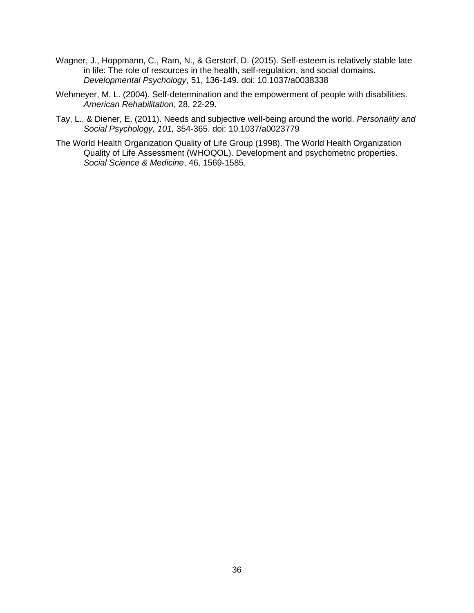- Wagner, J., Hoppmann, C., Ram, N., & Gerstorf, D. (2015). Self-esteem is relatively stable late in life: The role of resources in the health, self-regulation, and social domains. *Developmental Psychology*, 51, 136-149. doi: 10.1037/a0038338
- Wehmeyer, M. L. (2004). Self-determination and the empowerment of people with disabilities. *American Rehabilitation*, 28, 22-29.
- Tay, L., & Diener, E. (2011). Needs and subjective well-being around the world. *Personality and Social Psychology, 101,* 354-365. doi: 10.1037/a0023779
- The World Health Organization Quality of Life Group (1998). The World Health Organization Quality of Life Assessment (WHOQOL). Development and psychometric properties. *Social Science & Medicine*, 46, 1569-1585.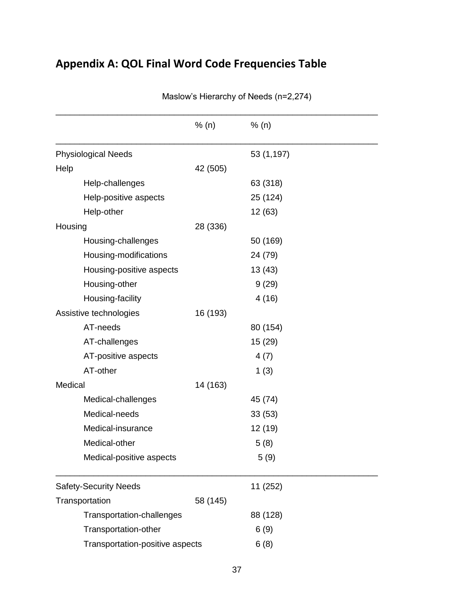# **Appendix A: QOL Final Word Code Frequencies Table**

|                                 | % (n)    | % (n)      |  |
|---------------------------------|----------|------------|--|
| <b>Physiological Needs</b>      |          | 53 (1,197) |  |
| Help                            | 42 (505) |            |  |
| Help-challenges                 |          | 63 (318)   |  |
| Help-positive aspects           |          | 25 (124)   |  |
| Help-other                      |          | 12 (63)    |  |
| Housing                         | 28 (336) |            |  |
| Housing-challenges              |          | 50 (169)   |  |
| Housing-modifications           |          | 24 (79)    |  |
| Housing-positive aspects        |          | 13(43)     |  |
| Housing-other                   |          | 9(29)      |  |
| Housing-facility                |          | 4(16)      |  |
| Assistive technologies          | 16 (193) |            |  |
| AT-needs                        |          | 80 (154)   |  |
| AT-challenges                   |          | 15 (29)    |  |
| AT-positive aspects             |          | 4(7)       |  |
| AT-other                        |          | 1(3)       |  |
| Medical                         | 14 (163) |            |  |
| Medical-challenges              |          | 45 (74)    |  |
| Medical-needs                   |          | 33(53)     |  |
| Medical-insurance               |          | 12 (19)    |  |
| Medical-other                   |          | 5(8)       |  |
| Medical-positive aspects        |          | 5(9)       |  |
| <b>Safety-Security Needs</b>    |          | 11 (252)   |  |
| Transportation                  | 58 (145) |            |  |
| Transportation-challenges       |          | 88 (128)   |  |
| Transportation-other            |          | 6(9)       |  |
| Transportation-positive aspects |          | 6(8)       |  |

Maslow's Hierarchy of Needs (n=2,274)